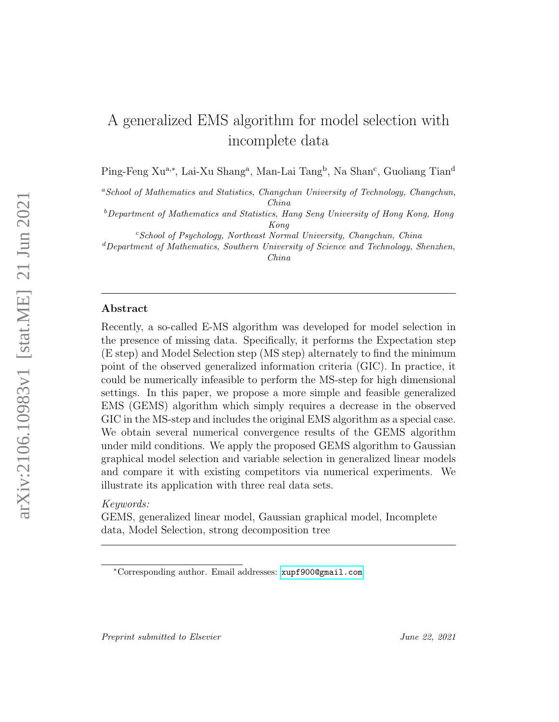# A generalized EMS algorithm for model selection with incomplete data

Ping-Feng Xu<sup>a,∗</sup>, Lai-Xu Shang<sup>a</sup>, Man-Lai Tang<sup>b</sup>, Na Shan<sup>c</sup>, Guoliang Tian<sup>d</sup>

<sup>a</sup>School of Mathematics and Statistics, Changchun University of Technology, Changchun, China

 $b$ Department of Mathematics and Statistics, Hang Seng University of Hong Kong, Hong Kong

 $c$ School of Psychology, Northeast Normal University, Changchun, China

 ${}^{d}$ Department of Mathematics, Southern University of Science and Technology, Shenzhen, China

#### Abstract

Recently, a so-called E-MS algorithm was developed for model selection in the presence of missing data. Specifically, it performs the Expectation step (E step) and Model Selection step (MS step) alternately to find the minimum point of the observed generalized information criteria (GIC). In practice, it could be numerically infeasible to perform the MS-step for high dimensional settings. In this paper, we propose a more simple and feasible generalized EMS (GEMS) algorithm which simply requires a decrease in the observed GIC in the MS-step and includes the original EMS algorithm as a special case. We obtain several numerical convergence results of the GEMS algorithm under mild conditions. We apply the proposed GEMS algorithm to Gaussian graphical model selection and variable selection in generalized linear models and compare it with existing competitors via numerical experiments. We illustrate its application with three real data sets.

### Keywords:

GEMS, generalized linear model, Gaussian graphical model, Incomplete data, Model Selection, strong decomposition tree

<sup>∗</sup>Corresponding author. Email addresses: <xupf900@gmail.com>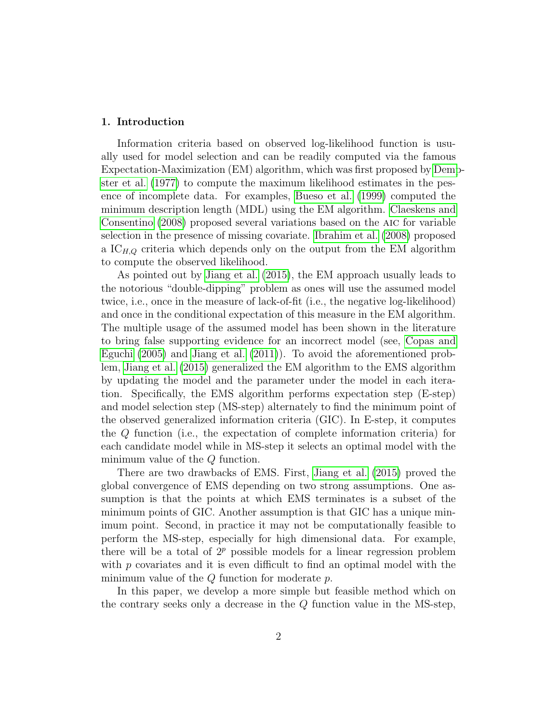#### 1. Introduction

Information criteria based on observed log-likelihood function is usually used for model selection and can be readily computed via the famous Expectation-Maximization (EM) algorithm, which was first proposed by [Demp](#page-32-0)[ster et al. \(1977\)](#page-32-0) to compute the maximum likelihood estimates in the pesence of incomplete data. For examples, [Bueso et al. \(1999\)](#page-32-1) computed the minimum description length (MDL) using the EM algorithm. [Claeskens and](#page-32-2) [Consentino \(2008\)](#page-32-2) proposed several variations based on the aic for variable selection in the presence of missing covariate. [Ibrahim et al. \(2008\)](#page-33-0) proposed a  $IC_{H,Q}$  criteria which depends only on the output from the EM algorithm to compute the observed likelihood.

As pointed out by [Jiang et al. \(2015\)](#page-33-1), the EM approach usually leads to the notorious "double-dipping" problem as ones will use the assumed model twice, i.e., once in the measure of lack-of-fit (i.e., the negative log-likelihood) and once in the conditional expectation of this measure in the EM algorithm. The multiple usage of the assumed model has been shown in the literature to bring false supporting evidence for an incorrect model (see, [Copas and](#page-32-3) [Eguchi \(2005\)](#page-32-3) and [Jiang et al. \(2011\)](#page-33-2)). To avoid the aforementioned problem, [Jiang et al. \(2015\)](#page-33-1) generalized the EM algorithm to the EMS algorithm by updating the model and the parameter under the model in each iteration. Specifically, the EMS algorithm performs expectation step (E-step) and model selection step (MS-step) alternately to find the minimum point of the observed generalized information criteria (GIC). In E-step, it computes the Q function (i.e., the expectation of complete information criteria) for each candidate model while in MS-step it selects an optimal model with the minimum value of the Q function.

There are two drawbacks of EMS. First, [Jiang et al. \(2015\)](#page-33-1) proved the global convergence of EMS depending on two strong assumptions. One assumption is that the points at which EMS terminates is a subset of the minimum points of GIC. Another assumption is that GIC has a unique minimum point. Second, in practice it may not be computationally feasible to perform the MS-step, especially for high dimensional data. For example, there will be a total of  $2^p$  possible models for a linear regression problem with  $p$  covariates and it is even difficult to find an optimal model with the minimum value of the  $Q$  function for moderate  $p$ .

In this paper, we develop a more simple but feasible method which on the contrary seeks only a decrease in the Q function value in the MS-step,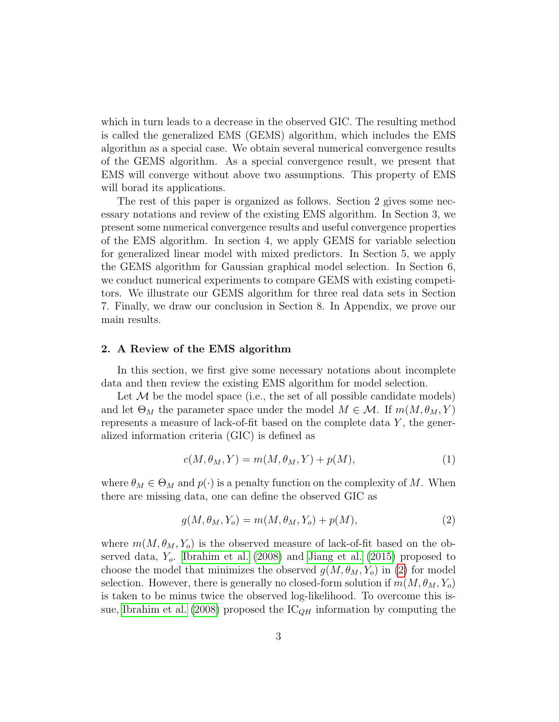which in turn leads to a decrease in the observed GIC. The resulting method is called the generalized EMS (GEMS) algorithm, which includes the EMS algorithm as a special case. We obtain several numerical convergence results of the GEMS algorithm. As a special convergence result, we present that EMS will converge without above two assumptions. This property of EMS will borad its applications.

The rest of this paper is organized as follows. Section 2 gives some necessary notations and review of the existing EMS algorithm. In Section 3, we present some numerical convergence results and useful convergence properties of the EMS algorithm. In section 4, we apply GEMS for variable selection for generalized linear model with mixed predictors. In Section 5, we apply the GEMS algorithm for Gaussian graphical model selection. In Section 6, we conduct numerical experiments to compare GEMS with existing competitors. We illustrate our GEMS algorithm for three real data sets in Section 7. Finally, we draw our conclusion in Section 8. In Appendix, we prove our main results.

#### 2. A Review of the EMS algorithm

In this section, we first give some necessary notations about incomplete data and then review the existing EMS algorithm for model selection.

Let  $M$  be the model space (i.e., the set of all possible candidate models) and let  $\Theta_M$  the parameter space under the model  $M \in \mathcal{M}$ . If  $m(M, \theta_M, Y)$ represents a measure of lack-of-fit based on the complete data  $Y$ , the generalized information criteria (GIC) is defined as

$$
c(M, \theta_M, Y) = m(M, \theta_M, Y) + p(M), \tag{1}
$$

where  $\theta_M \in \Theta_M$  and  $p(\cdot)$  is a penalty function on the complexity of M. When there are missing data, one can define the observed GIC as

<span id="page-2-0"></span>
$$
g(M, \theta_M, Y_o) = m(M, \theta_M, Y_o) + p(M), \qquad (2)
$$

where  $m(M, \theta_M, Y_o)$  is the observed measure of lack-of-fit based on the observed data,  $Y_o$ . [Ibrahim et al. \(2008\)](#page-33-0) and [Jiang et al. \(2015\)](#page-33-1) proposed to choose the model that minimizes the observed  $g(M, \theta_M, Y_o)$  in [\(2\)](#page-2-0) for model selection. However, there is generally no closed-form solution if  $m(M, \theta_M, Y_o)$ is taken to be minus twice the observed log-likelihood. To overcome this is-sue, [Ibrahim et al. \(2008\)](#page-33-0) proposed the  $IC_{QH}$  information by computing the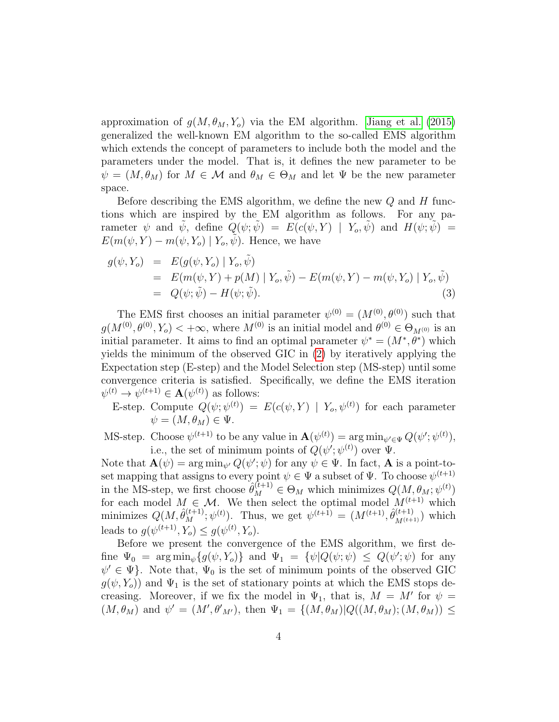approximation of  $g(M, \theta_M, Y_o)$  via the EM algorithm. [Jiang et al. \(2015\)](#page-33-1) generalized the well-known EM algorithm to the so-called EMS algorithm which extends the concept of parameters to include both the model and the parameters under the model. That is, it defines the new parameter to be  $\psi = (M, \theta_M)$  for  $M \in \mathcal{M}$  and  $\theta_M \in \Theta_M$  and let  $\Psi$  be the new parameter space.

Before describing the EMS algorithm, we define the new  $Q$  and  $H$  functions which are inspired by the EM algorithm as follows. For any parameter  $\psi$  and  $\tilde{\psi}$ , define  $Q(\psi; \tilde{\psi}) = E(c(\psi, Y) | Y_o, \tilde{\psi})$  and  $H(\psi; \tilde{\psi}) =$  $E(m(\psi, Y) - m(\psi, Y_o) | Y_o, \tilde{\psi})$ . Hence, we have

<span id="page-3-0"></span>
$$
g(\psi, Y_o) = E(g(\psi, Y_o) | Y_o, \tilde{\psi})
$$
  
=  $E(m(\psi, Y) + p(M) | Y_o, \tilde{\psi}) - E(m(\psi, Y) - m(\psi, Y_o) | Y_o, \tilde{\psi})$   
=  $Q(\psi; \tilde{\psi}) - H(\psi; \tilde{\psi}).$  (3)

The EMS first chooses an initial parameter  $\psi^{(0)} = (M^{(0)}, \theta^{(0)})$  such that  $g(M^{(0)}, \theta^{(0)}, Y_o) < +\infty$ , where  $M^{(0)}$  is an initial model and  $\theta^{(0)} \in \Theta_{M^{(0)}}$  is an initial parameter. It aims to find an optimal parameter  $\psi^* = (M^*, \theta^*)$  which yields the minimum of the observed GIC in [\(2\)](#page-2-0) by iteratively applying the Expectation step (E-step) and the Model Selection step (MS-step) until some convergence criteria is satisfied. Specifically, we define the EMS iteration  $\psi^{(t)} \to \psi^{(t+1)} \in \mathbf{A}(\psi^{(t)})$  as follows:

E-step. Compute  $Q(\psi; \psi^{(t)}) = E(c(\psi, Y) | Y_o, \psi^{(t)})$  for each parameter  $\psi = (M, \theta_M) \in \Psi.$ 

MS-step. Choose  $\psi^{(t+1)}$  to be any value in  $\mathbf{A}(\psi^{(t)}) = \arg \min_{\psi' \in \Psi} Q(\psi'; \psi^{(t)}),$ i.e., the set of minimum points of  $Q(\psi'; \psi^{(t)})$  over  $\Psi$ .

Note that  $\mathbf{A}(\psi) = \arg \min_{\psi} Q(\psi'; \psi)$  for any  $\psi \in \Psi$ . In fact, **A** is a point-toset mapping that assigns to every point  $\psi \in \Psi$  a subset of  $\Psi$ . To choose  $\psi^{(t+1)}$ in the MS-step, we first choose  $\hat{\theta}_M^{(t+1)} \in \Theta_M$  which minimizes  $Q(M, \theta_M; \psi^{(t)})$ for each model  $M \in \mathcal{M}$ . We then select the optimal model  $M^{(t+1)}$  which minimizes  $Q(M, \hat{\theta}_{M}^{(t+1)}; \psi^{(t)})$ . Thus, we get  $\psi^{(t+1)} = (M^{(t+1)}, \hat{\theta}_{M^{(t+1)}}^{(t+1)})$  which leads to  $g(\psi^{(t+1)}, Y_o) \leq g(\psi^{(t)}, Y_o)$ .

Before we present the convergence of the EMS algorithm, we first define  $\Psi_0 = \arg \min_{\psi} \{g(\psi, Y_o)\}$  and  $\Psi_1 = \{\psi | Q(\psi; \psi) \le Q(\psi'; \psi)$  for any  $\psi' \in \Psi$ . Note that,  $\Psi_0$  is the set of minimum points of the observed GIC  $g(\psi, Y_o)$  and  $\Psi_1$  is the set of stationary points at which the EMS stops decreasing. Moreover, if we fix the model in  $\Psi_1$ , that is,  $M = M'$  for  $\psi =$  $(M, \theta_M)$  and  $\psi' = (M', \theta'_{M'})$ , then  $\Psi_1 = \{(M, \theta_M) | Q((M, \theta_M); (M, \theta_M)) \leq$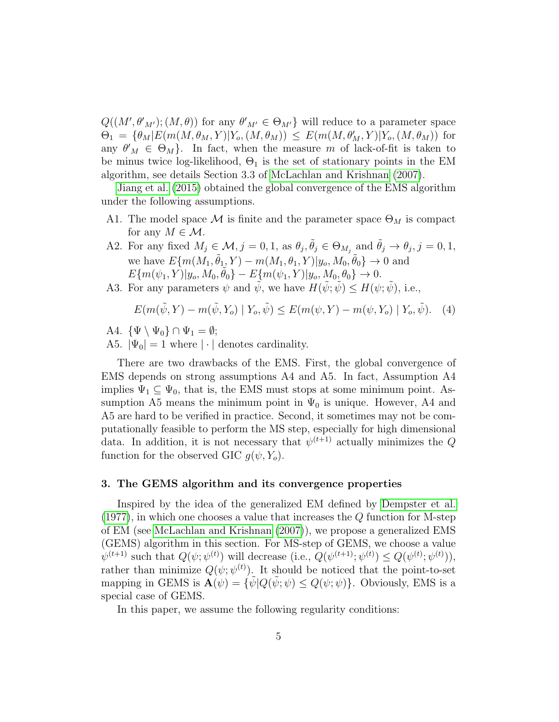$Q((M',\theta'_{M'});(M,\theta))$  for any  $\theta'_{M'} \in \Theta_{M'}$  will reduce to a parameter space  $\Theta_1 = {\theta_M | E(m(M, \theta_M, Y)|Y_o, (M, \theta_M)) \le E(m(M, \theta'_M, Y)|Y_o, (M, \theta_M))$  for any  $\theta'_{M} \in \Theta_{M}$ . In fact, when the measure m of lack-of-fit is taken to be minus twice log-likelihood,  $\Theta_1$  is the set of stationary points in the EM algorithm, see details Section 3.3 of [McLachlan and Krishnan \(2007\)](#page-34-0).

[Jiang et al. \(2015\)](#page-33-1) obtained the global convergence of the EMS algorithm under the following assumptions.

- A1. The model space  $\mathcal M$  is finite and the parameter space  $\Theta_M$  is compact for any  $M \in \mathcal{M}$ .
- A2. For any fixed  $M_j \in \mathcal{M}$ ,  $j = 0, 1$ , as  $\theta_j$ ,  $\tilde{\theta}_j \in \Theta_{M_j}$  and  $\tilde{\theta}_j \to \theta_j$ ,  $j = 0, 1$ , we have  $E\{m(M_1, \tilde{\theta}_1, Y) - m(M_1, \theta_1, Y)|y_o, M_0, \tilde{\theta}_0\} \to 0$  and  $E\{m(\psi_1, Y)|y_o, M_0, \tilde{\theta}_0\} - E\{m(\psi_1, Y)|y_o, M_0, \theta_0\} \to 0.$
- A3. For any parameters  $\psi$  and  $\tilde{\psi}$ , we have  $H(\tilde{\psi}; \tilde{\psi}) \leq H(\psi; \tilde{\psi})$ , i.e.,

$$
E(m(\tilde{\psi}, Y) - m(\tilde{\psi}, Y_o) | Y_o, \tilde{\psi}) \le E(m(\psi, Y) - m(\psi, Y_o) | Y_o, \tilde{\psi}).
$$
 (4)

- A4.  $\{\Psi \setminus \Psi_0\} \cap \Psi_1 = \emptyset;$
- A5.  $|\Psi_0| = 1$  where  $|\cdot|$  denotes cardinality.

There are two drawbacks of the EMS. First, the global convergence of EMS depends on strong assumptions A4 and A5. In fact, Assumption A4 implies  $\Psi_1 \subseteq \Psi_0$ , that is, the EMS must stops at some minimum point. Assumption A5 means the minimum point in  $\Psi_0$  is unique. However, A4 and A5 are hard to be verified in practice. Second, it sometimes may not be computationally feasible to perform the MS step, especially for high dimensional data. In addition, it is not necessary that  $\psi^{(t+1)}$  actually minimizes the Q function for the observed GIC  $g(\psi, Y_o)$ .

#### 3. The GEMS algorithm and its convergence properties

Inspired by the idea of the generalized EM defined by [Dempster et al.](#page-32-0) [\(1977\)](#page-32-0), in which one chooses a value that increases the Q function for M-step of EM (see [McLachlan and Krishnan \(2007\)](#page-34-0)), we propose a generalized EMS (GEMS) algorithm in this section. For MS-step of GEMS, we choose a value  $\psi^{(t+1)}$  such that  $Q(\psi; \psi^{(t)})$  will decrease (i.e.,  $Q(\psi^{(t+1)}; \psi^{(t)}) \leq Q(\psi^{(t)}; \psi^{(t)}),$ rather than minimize  $Q(\psi; \psi^{(t)})$ . It should be noticed that the point-to-set mapping in GEMS is  $\mathbf{A}(\psi) = {\tilde{\psi}}[Q(\tilde{\psi}; \psi) \leq Q(\psi; \psi)$ . Obviously, EMS is a special case of GEMS.

In this paper, we assume the following regularity conditions: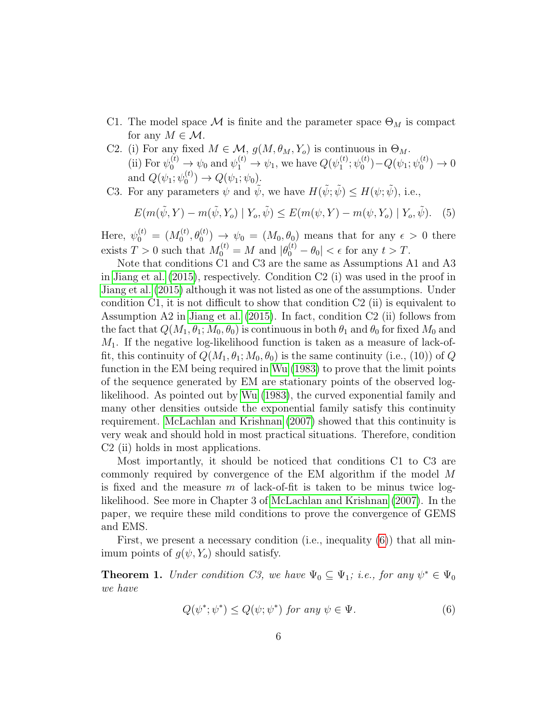- C1. The model space M is finite and the parameter space  $\Theta_M$  is compact for any  $M \in \mathcal{M}$ .
- C2. (i) For any fixed  $M \in \mathcal{M}$ ,  $g(M, \theta_M, Y_o)$  is continuous in  $\Theta_M$ . (ii) For  $\psi_0^{(t)} \to \psi_0$  and  $\psi_1^{(t)} \to \psi_1$ , we have  $Q(\psi_1^{(t)})$  $\mathcal{L}_1^{(t)}$ ;  $\psi_0^{(t)}$  $\phi_0^{(t)}$ ) –  $Q(\psi_1;\psi_0^{(t)}$  $\binom{t}{0} \to 0$ and  $Q(\psi_1;\psi_0^{(t)})$  $Q(\psi_1; \psi_0)$ .
- C3. For any parameters  $\psi$  and  $\tilde{\psi}$ , we have  $H(\tilde{\psi}; \tilde{\psi}) \leq H(\psi; \tilde{\psi})$ , i.e.,

$$
E(m(\tilde{\psi}, Y) - m(\tilde{\psi}, Y_o) \mid Y_o, \tilde{\psi}) \le E(m(\psi, Y) - m(\psi, Y_o) \mid Y_o, \tilde{\psi}).
$$
 (5)

Here,  $\psi_0^{(t)} = (M_0^{(t)}$  $\psi_0^{(t)}, \theta_0^{(t)}$   $\rightarrow \psi_0 = (M_0, \theta_0)$  means that for any  $\epsilon > 0$  there exists  $T > 0$  such that  $M_0^{(t)} = M$  and  $|\theta_0^{(t)} - \theta_0| < \epsilon$  for any  $t > T$ .

Note that conditions C1 and C3 are the same as Assumptions A1 and A3 in [Jiang et al. \(2015\)](#page-33-1), respectively. Condition C2 (i) was used in the proof in [Jiang et al. \(2015\)](#page-33-1) although it was not listed as one of the assumptions. Under condition C1, it is not difficult to show that condition  $C_2$  (ii) is equivalent to Assumption A2 in [Jiang et al. \(2015\)](#page-33-1). In fact, condition C2 (ii) follows from the fact that  $Q(M_1, \theta_1; M_0, \theta_0)$  is continuous in both  $\theta_1$  and  $\theta_0$  for fixed  $M_0$  and  $M_1$ . If the negative log-likelihood function is taken as a measure of lack-offit, this continuity of  $Q(M_1, \theta_1; M_0, \theta_0)$  is the same continuity (i.e., (10)) of Q function in the EM being required in [Wu \(1983\)](#page-35-0) to prove that the limit points of the sequence generated by EM are stationary points of the observed loglikelihood. As pointed out by [Wu \(1983\)](#page-35-0), the curved exponential family and many other densities outside the exponential family satisfy this continuity requirement. [McLachlan and Krishnan \(2007\)](#page-34-0) showed that this continuity is very weak and should hold in most practical situations. Therefore, condition C2 (ii) holds in most applications.

Most importantly, it should be noticed that conditions C1 to C3 are commonly required by convergence of the EM algorithm if the model M is fixed and the measure  $m$  of lack-of-fit is taken to be minus twice loglikelihood. See more in Chapter 3 of [McLachlan and Krishnan \(2007\)](#page-34-0). In the paper, we require these mild conditions to prove the convergence of GEMS and EMS.

First, we present a necessary condition (i.e., inequality  $(6)$ ) that all minimum points of  $g(\psi, Y_o)$  should satisfy.

<span id="page-5-1"></span>**Theorem 1.** Under condition C3, we have  $\Psi_0 \subseteq \Psi_1$ ; i.e., for any  $\psi^* \in \Psi_0$ we have

<span id="page-5-0"></span>
$$
Q(\psi^*; \psi^*) \le Q(\psi; \psi^*) \text{ for any } \psi \in \Psi. \tag{6}
$$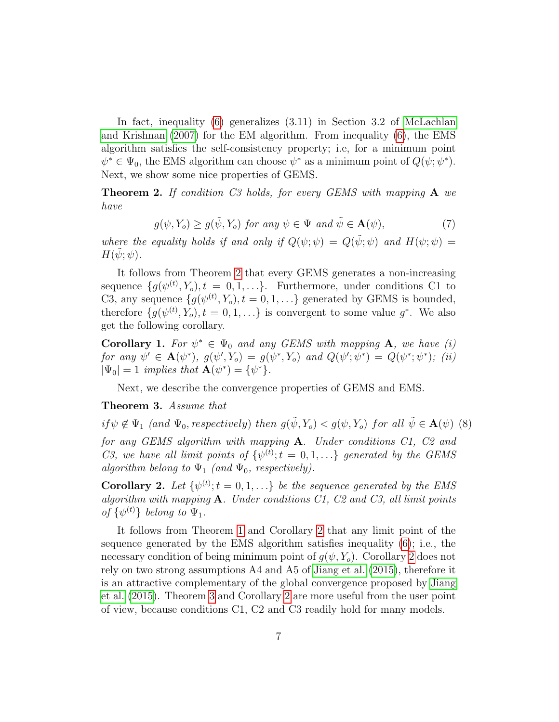In fact, inequality [\(6\)](#page-5-0) generalizes (3.11) in Section 3.2 of [McLachlan](#page-34-0) [and Krishnan \(2007\)](#page-34-0) for the EM algorithm. From inequality [\(6\)](#page-5-0), the EMS algorithm satisfies the self-consistency property; i.e, for a minimum point  $\psi^* \in \Psi_0$ , the EMS algorithm can choose  $\psi^*$  as a minimum point of  $Q(\psi; \psi^*)$ . Next, we show some nice properties of GEMS.

<span id="page-6-0"></span>**Theorem 2.** If condition C3 holds, for every GEMS with mapping  $A$  we have

$$
g(\psi, Y_o) \ge g(\tilde{\psi}, Y_o) \text{ for any } \psi \in \Psi \text{ and } \tilde{\psi} \in \mathbf{A}(\psi), \tag{7}
$$

where the equality holds if and only if  $Q(\psi;\psi) = Q(\tilde{\psi};\psi)$  and  $H(\psi;\psi) =$  $H(\psi; \psi)$ .

It follows from Theorem [2](#page-6-0) that every GEMS generates a non-increasing sequence  $\{g(\psi^{(t)}, Y_o), t = 0, 1, \ldots\}$ . Furthermore, under conditions C1 to C3, any sequence  $\{g(\psi^{(t)}, Y_o), t = 0, 1, \ldots\}$  generated by GEMS is bounded, therefore  $\{g(\psi^{(t)}, Y_o), t = 0, 1, \ldots\}$  is convergent to some value  $g^*$ . We also get the following corollary.

**Corollary 1.** For  $\psi^* \in \Psi_0$  and any GEMS with mapping **A**, we have (i) for any  $\psi' \in \mathbf{A}(\psi^*), g(\psi', Y_o) = g(\psi^*, Y_o)$  and  $Q(\psi'; \psi^*) = Q(\psi^*; \psi^*)$ ; (ii)  $|\Psi_0| = 1$  implies that  $\mathbf{A}(\psi^*) = {\psi^*}.$ 

Next, we describe the convergence properties of GEMS and EMS.

#### <span id="page-6-2"></span>Theorem 3. Assume that

<span id="page-6-3"></span>if  $\psi \notin \Psi_1$  (and  $\Psi_0$ , respectively) then  $g(\tilde{\psi}, Y_o) < g(\psi, Y_o)$  for all  $\tilde{\psi} \in \mathbf{A}(\psi)$  (8) for any GEMS algorithm with mapping A. Under conditions C1, C2 and C3, we have all limit points of  $\{\psi^{(t)}; t = 0, 1, ...\}$  generated by the GEMS algorithm belong to  $\Psi_1$  (and  $\Psi_0$ , respectively).

<span id="page-6-1"></span>**Corollary 2.** Let  $\{\psi^{(t)}; t = 0, 1, \ldots\}$  be the sequence generated by the EMS algorithm with mapping  $A$ . Under conditions C1, C2 and C3, all limit points of  $\{\psi^{(t)}\}\$ belong to  $\Psi_1$ .

It follows from Theorem [1](#page-5-1) and Corollary [2](#page-6-1) that any limit point of the sequence generated by the EMS algorithm satisfies inequality [\(6\)](#page-5-0); i.e., the necessary condition of being minimum point of  $q(\psi, Y_o)$ . Corollary [2](#page-6-1) does not rely on two strong assumptions A4 and A5 of [Jiang et al. \(2015\)](#page-33-1), therefore it is an attractive complementary of the global convergence proposed by [Jiang](#page-33-1) [et al. \(2015\)](#page-33-1). Theorem [3](#page-6-2) and Corollary [2](#page-6-1) are more useful from the user point of view, because conditions C1, C2 and C3 readily hold for many models.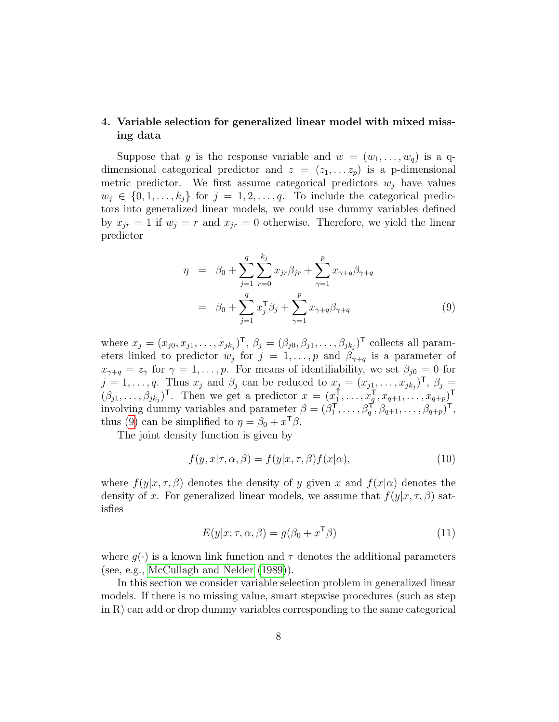# 4. Variable selection for generalized linear model with mixed missing data

Suppose that y is the response variable and  $w = (w_1, \ldots, w_q)$  is a qdimensional categorical predictor and  $z = (z_1, \ldots z_p)$  is a p-dimensional metric predictor. We first assume categorical predictors  $w_j$  have values  $w_i \in \{0, 1, \ldots, k_i\}$  for  $j = 1, 2, \ldots, q$ . To include the categorical predictors into generalized linear models, we could use dummy variables defined by  $x_{jr} = 1$  if  $w_j = r$  and  $x_{jr} = 0$  otherwise. Therefore, we yield the linear predictor

<span id="page-7-0"></span>
$$
\eta = \beta_0 + \sum_{j=1}^{q} \sum_{r=0}^{k_j} x_{jr} \beta_{jr} + \sum_{\gamma=1}^{p} x_{\gamma+q} \beta_{\gamma+q} \n= \beta_0 + \sum_{j=1}^{q} x_j^{\mathsf{T}} \beta_j + \sum_{\gamma=1}^{p} x_{\gamma+q} \beta_{\gamma+q}
$$
\n(9)

where  $x_j = (x_{j0}, x_{j1}, \ldots, x_{jk_j})^{\mathsf{T}}, \ \beta_j = (\beta_{j0}, \beta_{j1}, \ldots, \beta_{jk_j})^{\mathsf{T}}$  collects all parameters linked to predictor  $w_j$  for  $j = 1, \ldots, p$  and  $\beta_{\gamma+q}$  is a parameter of  $x_{\gamma+q} = z_{\gamma}$  for  $\gamma = 1, \ldots, p$ . For means of identifiability, we set  $\beta_{j0} = 0$  for  $j = 1, \ldots, q$ . Thus  $x_j$  and  $\beta_j$  can be reduced to  $x_j = (x_{j1}, \ldots, x_{jk_j})^T$ ,  $\beta_j =$  $(\beta_{j1},\ldots,\beta_{jk_j})^{\mathsf{T}}$ . Then we get a predictor  $x=(x_1^{\mathsf{T}},\ldots,x_q^{\mathsf{T}},x_{q+1},\ldots,x_{q+p})^{\mathsf{T}}$ involving dummy variables and parameter  $\beta = (\beta_1^{\mathsf{T}}, \ldots, \beta_q^{\mathsf{T}}, \beta_{q+1}, \ldots, \beta_{q+p})^{\mathsf{T}}$ , thus [\(9\)](#page-7-0) can be simplified to  $\eta = \beta_0 + x^{\mathsf{T}}\beta$ .

The joint density function is given by

$$
f(y, x | \tau, \alpha, \beta) = f(y | x, \tau, \beta) f(x | \alpha), \tag{10}
$$

where  $f(y|x, \tau, \beta)$  denotes the density of y given x and  $f(x|\alpha)$  denotes the density of x. For generalized linear models, we assume that  $f(y|x, \tau, \beta)$  satisfies

<span id="page-7-1"></span>
$$
E(y|x; \tau, \alpha, \beta) = g(\beta_0 + x^{\mathsf{T}}\beta)
$$
\n(11)

where  $q(\cdot)$  is a known link function and  $\tau$  denotes the additional parameters (see, e.g., [McCullagh and Nelder \(1989\)](#page-34-1)).

In this section we consider variable selection problem in generalized linear models. If there is no missing value, smart stepwise procedures (such as step in R) can add or drop dummy variables corresponding to the same categorical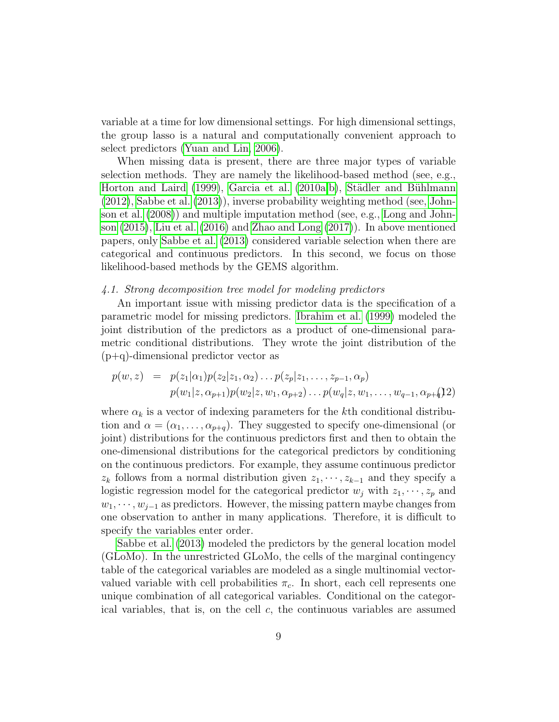variable at a time for low dimensional settings. For high dimensional settings, the group lasso is a natural and computationally convenient approach to select predictors [\(Yuan and Lin, 2006\)](#page-35-1).

When missing data is present, there are three major types of variable selection methods. They are namely the likelihood-based method (see, e.g., Horton and Laird  $(1999)$ , Garcia et al.  $(2010a,b)$  $(2010a,b)$ , Städler and Bühlmann [\(2012\)](#page-34-2), [Sabbe et al. \(2013\)](#page-34-3)), inverse probability weighting method (see, [John](#page-33-6)[son et al. \(2008\)](#page-33-6)) and multiple imputation method (see, e.g., [Long and John](#page-34-4)[son \(2015\)](#page-34-4), [Liu et al. \(2016\)](#page-34-5) and [Zhao and Long \(2017\)](#page-35-2)). In above mentioned papers, only [Sabbe et al. \(2013\)](#page-34-3) considered variable selection when there are categorical and continuous predictors. In this second, we focus on those likelihood-based methods by the GEMS algorithm.

#### 4.1. Strong decomposition tree model for modeling predictors

An important issue with missing predictor data is the specification of a parametric model for missing predictors. [Ibrahim et al. \(1999\)](#page-33-7) modeled the joint distribution of the predictors as a product of one-dimensional parametric conditional distributions. They wrote the joint distribution of the (p+q)-dimensional predictor vector as

$$
p(w, z) = p(z_1|\alpha_1)p(z_2|z_1, \alpha_2)\dots p(z_p|z_1, \dots, z_{p-1}, \alpha_p)
$$
  

$$
p(w_1|z, \alpha_{p+1})p(w_2|z, w_1, \alpha_{p+2})\dots p(w_q|z, w_1, \dots, w_{q-1}, \alpha_{p+1})
$$

where  $\alpha_k$  is a vector of indexing parameters for the kth conditional distribution and  $\alpha = (\alpha_1, \ldots, \alpha_{p+q})$ . They suggested to specify one-dimensional (or joint) distributions for the continuous predictors first and then to obtain the one-dimensional distributions for the categorical predictors by conditioning on the continuous predictors. For example, they assume continuous predictor  $z_k$  follows from a normal distribution given  $z_1, \dots, z_{k-1}$  and they specify a logistic regression model for the categorical predictor  $w_i$  with  $z_1, \dots, z_p$  and  $w_1, \dots, w_{j-1}$  as predictors. However, the missing pattern maybe changes from one observation to anther in many applications. Therefore, it is difficult to specify the variables enter order.

[Sabbe et al. \(2013\)](#page-34-3) modeled the predictors by the general location model (GLoMo). In the unrestricted GLoMo, the cells of the marginal contingency table of the categorical variables are modeled as a single multinomial vectorvalued variable with cell probabilities  $\pi_c$ . In short, each cell represents one unique combination of all categorical variables. Conditional on the categorical variables, that is, on the cell c, the continuous variables are assumed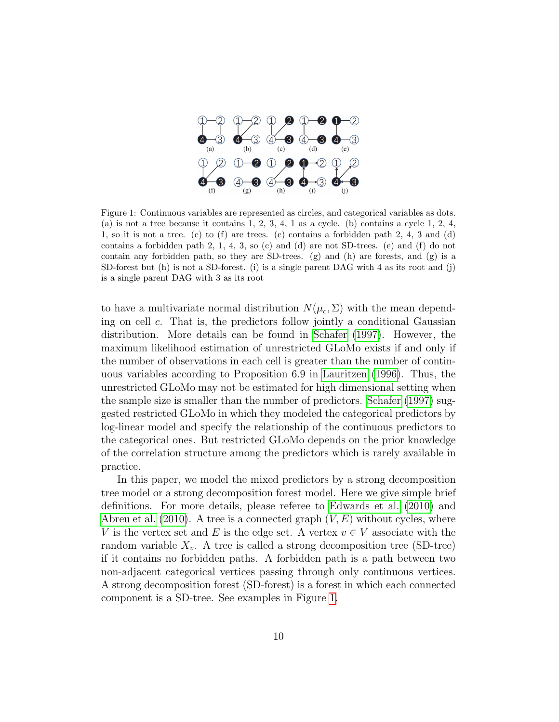

<span id="page-9-0"></span>Figure 1: Continuous variables are represented as circles, and categorical variables as dots. (a) is not a tree because it contains  $1, 2, 3, 4, 1$  as a cycle. (b) contains a cycle  $1, 2, 4$ , 1, so it is not a tree. (c) to (f) are trees. (c) contains a forbidden path 2, 4, 3 and (d) contains a forbidden path 2, 1, 4, 3, so (c) and (d) are not SD-trees. (e) and (f) do not contain any forbidden path, so they are SD-trees. (g) and (h) are forests, and (g) is a SD-forest but (h) is not a SD-forest. (i) is a single parent DAG with 4 as its root and (j) is a single parent DAG with 3 as its root

to have a multivariate normal distribution  $N(\mu_c, \Sigma)$  with the mean depending on cell c. That is, the predictors follow jointly a conditional Gaussian distribution. More details can be found in [Schafer \(1997\)](#page-34-6). However, the maximum likelihood estimation of unrestricted GLoMo exists if and only if the number of observations in each cell is greater than the number of continuous variables according to Proposition 6.9 in [Lauritzen \(1996\)](#page-34-7). Thus, the unrestricted GLoMo may not be estimated for high dimensional setting when the sample size is smaller than the number of predictors. [Schafer \(1997\)](#page-34-6) suggested restricted GLoMo in which they modeled the categorical predictors by log-linear model and specify the relationship of the continuous predictors to the categorical ones. But restricted GLoMo depends on the prior knowledge of the correlation structure among the predictors which is rarely available in practice.

In this paper, we model the mixed predictors by a strong decomposition tree model or a strong decomposition forest model. Here we give simple brief definitions. For more details, please referee to [Edwards et al. \(2010\)](#page-32-4) and [Abreu et al. \(2010\)](#page-32-5). A tree is a connected graph  $(V, E)$  without cycles, where V is the vertex set and E is the edge set. A vertex  $v \in V$  associate with the random variable  $X_v$ . A tree is called a strong decomposition tree (SD-tree) if it contains no forbidden paths. A forbidden path is a path between two non-adjacent categorical vertices passing through only continuous vertices. A strong decomposition forest (SD-forest) is a forest in which each connected component is a SD-tree. See examples in Figure [1.](#page-9-0)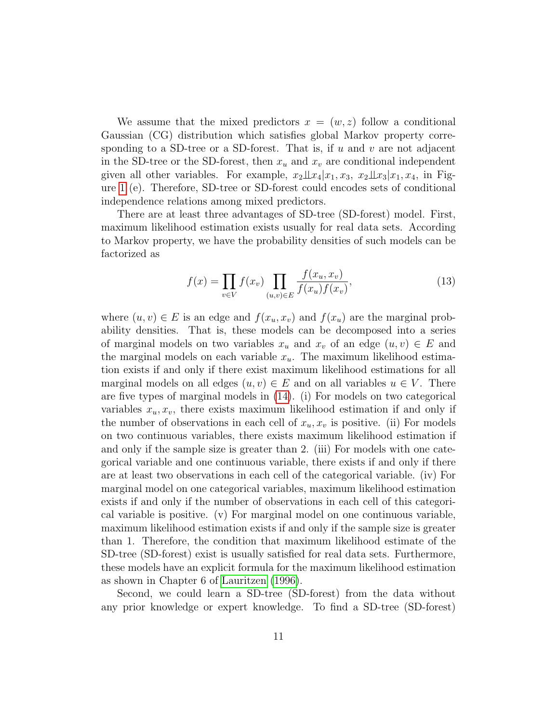We assume that the mixed predictors  $x = (w, z)$  follow a conditional Gaussian (CG) distribution which satisfies global Markov property corresponding to a SD-tree or a SD-forest. That is, if  $u$  and  $v$  are not adjacent in the SD-tree or the SD-forest, then  $x_u$  and  $x_v$  are conditional independent given all other variables. For example,  $x_2 \perp x_4 | x_1, x_3, x_2 \perp x_3 | x_1, x_4$ , in Figure [1](#page-9-0) (e). Therefore, SD-tree or SD-forest could encodes sets of conditional independence relations among mixed predictors.

There are at least three advantages of SD-tree (SD-forest) model. First, maximum likelihood estimation exists usually for real data sets. According to Markov property, we have the probability densities of such models can be factorized as

$$
f(x) = \prod_{v \in V} f(x_v) \prod_{(u,v) \in E} \frac{f(x_u, x_v)}{f(x_u)f(x_v)},
$$
\n(13)

where  $(u, v) \in E$  is an edge and  $f(x_u, x_v)$  and  $f(x_u)$  are the marginal probability densities. That is, these models can be decomposed into a series of marginal models on two variables  $x_u$  and  $x_v$  of an edge  $(u, v) \in E$  and the marginal models on each variable  $x_u$ . The maximum likelihood estimation exists if and only if there exist maximum likelihood estimations for all marginal models on all edges  $(u, v) \in E$  and on all variables  $u \in V$ . There are five types of marginal models in [\(14\)](#page-11-0). (i) For models on two categorical variables  $x_u, x_v$ , there exists maximum likelihood estimation if and only if the number of observations in each cell of  $x_u, x_v$  is positive. (ii) For models on two continuous variables, there exists maximum likelihood estimation if and only if the sample size is greater than 2. (iii) For models with one categorical variable and one continuous variable, there exists if and only if there are at least two observations in each cell of the categorical variable. (iv) For marginal model on one categorical variables, maximum likelihood estimation exists if and only if the number of observations in each cell of this categorical variable is positive. (v) For marginal model on one continuous variable, maximum likelihood estimation exists if and only if the sample size is greater than 1. Therefore, the condition that maximum likelihood estimate of the SD-tree (SD-forest) exist is usually satisfied for real data sets. Furthermore, these models have an explicit formula for the maximum likelihood estimation as shown in Chapter 6 of [Lauritzen \(1996\)](#page-34-7).

Second, we could learn a SD-tree (SD-forest) from the data without any prior knowledge or expert knowledge. To find a SD-tree (SD-forest)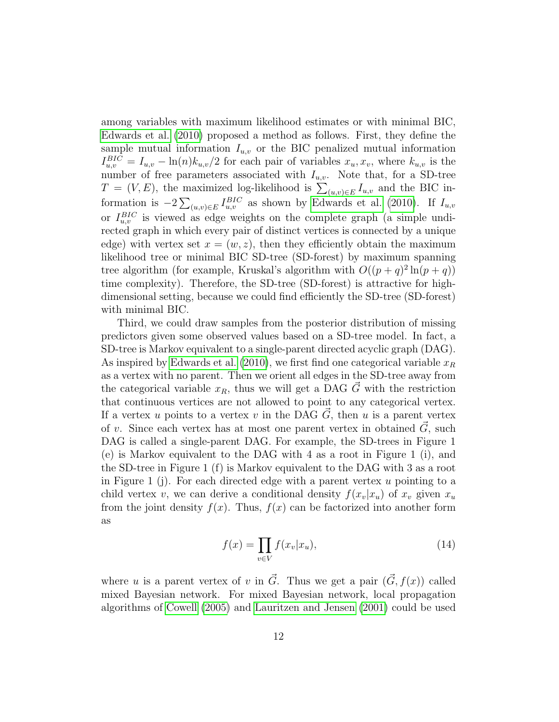among variables with maximum likelihood estimates or with minimal BIC, [Edwards et al. \(2010\)](#page-32-4) proposed a method as follows. First, they define the sample mutual information  $I_{u,v}$  or the BIC penalized mutual information  $I_{u,v}^{BIC} = I_{u,v} - \ln(n) k_{u,v}/2$  for each pair of variables  $x_u, x_v$ , where  $k_{u,v}$  is the number of free parameters associated with  $I_{u,v}$ . Note that, for a SD-tree  $T = (V, E)$ , the maximized log-likelihood is  $\sum_{(u,v)\in E} I_{u,v}$  and the BIC information is  $-2\sum_{(u,v)\in E}I_{u,v}^{BIC}$  as shown by [Edwards et al. \(2010\)](#page-32-4). If  $I_{u,v}$ or  $I_{u,v}^{BIC}$  is viewed as edge weights on the complete graph (a simple undirected graph in which every pair of distinct vertices is connected by a unique edge) with vertex set  $x = (w, z)$ , then they efficiently obtain the maximum likelihood tree or minimal BIC SD-tree (SD-forest) by maximum spanning tree algorithm (for example, Kruskal's algorithm with  $O((p+q)^2 \ln(p+q))$ time complexity). Therefore, the SD-tree (SD-forest) is attractive for highdimensional setting, because we could find efficiently the SD-tree (SD-forest) with minimal BIC.

Third, we could draw samples from the posterior distribution of missing predictors given some observed values based on a SD-tree model. In fact, a SD-tree is Markov equivalent to a single-parent directed acyclic graph (DAG). As inspired by [Edwards et al. \(2010\)](#page-32-4), we first find one categorical variable  $x_R$ as a vertex with no parent. Then we orient all edges in the SD-tree away from the categorical variable  $x_R$ , thus we will get a DAG G with the restriction that continuous vertices are not allowed to point to any categorical vertex. If a vertex u points to a vertex v in the DAG  $\ddot{G}$ , then u is a parent vertex of v. Since each vertex has at most one parent vertex in obtained  $\vec{G}$ , such DAG is called a single-parent DAG. For example, the SD-trees in Figure 1 (e) is Markov equivalent to the DAG with 4 as a root in Figure 1 (i), and the SD-tree in Figure 1 (f) is Markov equivalent to the DAG with 3 as a root in Figure 1 (j). For each directed edge with a parent vertex  $u$  pointing to a child vertex v, we can derive a conditional density  $f(x_v|x_u)$  of  $x_v$  given  $x_u$ from the joint density  $f(x)$ . Thus,  $f(x)$  can be factorized into another form as

<span id="page-11-0"></span>
$$
f(x) = \prod_{v \in V} f(x_v | x_u), \tag{14}
$$

where u is a parent vertex of v in  $\vec{G}$ . Thus we get a pair  $(\vec{G}, f(x))$  called mixed Bayesian network. For mixed Bayesian network, local propagation algorithms of [Cowell \(2005\)](#page-32-6) and [Lauritzen and Jensen \(2001\)](#page-34-8) could be used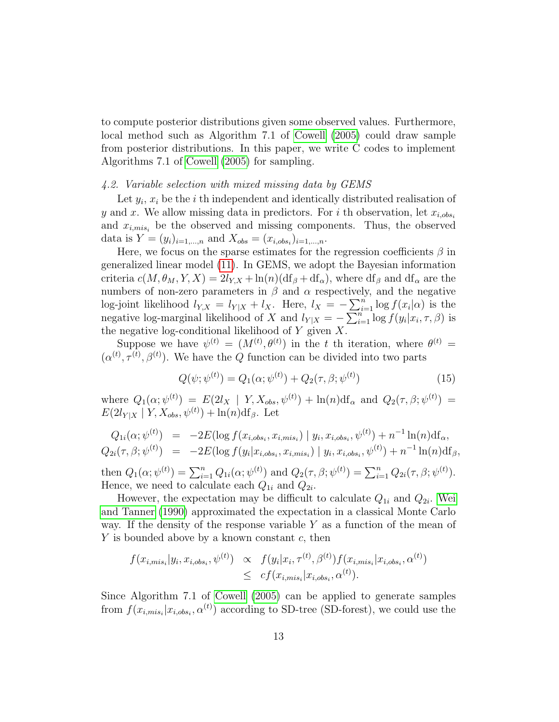to compute posterior distributions given some observed values. Furthermore, local method such as Algorithm 7.1 of [Cowell \(2005\)](#page-32-6) could draw sample from posterior distributions. In this paper, we write C codes to implement Algorithms 7.1 of [Cowell \(2005\)](#page-32-6) for sampling.

#### 4.2. Variable selection with mixed missing data by GEMS

Let  $y_i, x_i$  be the i th independent and identically distributed realisation of y and x. We allow missing data in predictors. For i th observation, let  $x_{i,obs_i}$ and  $x_{i,mis}$  be the observed and missing components. Thus, the observed data is  $Y = (y_i)_{i=1,...,n}$  and  $X_{obs} = (x_{i,obs_i})_{i=1,...,n}$ .

Here, we focus on the sparse estimates for the regression coefficients  $\beta$  in generalized linear model [\(11\)](#page-7-1). In GEMS, we adopt the Bayesian information criteria  $c(M, \theta_M, Y, X) = 2l_{Y,X} + \ln(n) (\text{df}_{\beta} + \text{df}_{\alpha})$ , where  $\text{df}_{\beta}$  and  $\text{df}_{\alpha}$  are the numbers of non-zero parameters in  $\beta$  and  $\alpha$  respectively, and the negative log-joint likelihood  $l_{Y,X} = l_{Y|X} + l_X$ . Here,  $l_X = -\sum_{i=1}^n \log f(x_i|\alpha)$  is the negative log-marginal likelihood of X and  $l_{Y|X} = -\sum_{i=1}^{n} \log f(y_i | x_i, \tau, \beta)$  is the negative log-conditional likelihood of  $Y$  given  $X$ .

Suppose we have  $\psi^{(t)} = (M^{(t)}, \theta^{(t)})$  in the t th iteration, where  $\theta^{(t)} =$  $(\alpha^{(t)}, \tau^{(t)}, \beta^{(t)})$ . We have the Q function can be divided into two parts

$$
Q(\psi; \psi^{(t)}) = Q_1(\alpha; \psi^{(t)}) + Q_2(\tau, \beta; \psi^{(t)})
$$
\n(15)

where  $Q_1(\alpha, \psi^{(t)}) = E(2l_X | Y, X_{obs}, \psi^{(t)}) + \ln(n) df_\alpha$  and  $Q_2(\tau, \beta; \psi^{(t)}) =$  $E(2l_{Y|X} | Y, X_{obs}, \psi^{(t)}) + \ln(n) df_{\beta}$ . Let

<span id="page-12-0"></span>
$$
Q_{1i}(\alpha; \psi^{(t)}) = -2E(\log f(x_{i,obs_{i}}, x_{i,mis_{i}}) | y_{i}, x_{i,obs_{i}}, \psi^{(t)}) + n^{-1} \ln(n) \mathrm{df}_{\alpha},
$$
  
\n
$$
Q_{2i}(\tau, \beta; \psi^{(t)}) = -2E(\log f(y_{i}|x_{i,obs_{i}}, x_{i,mis_{i}}) | y_{i}, x_{i,obs_{i}}, \psi^{(t)}) + n^{-1} \ln(n) \mathrm{df}_{\beta},
$$

then  $Q_1(\alpha; \psi^{(t)}) = \sum_{i=1}^n Q_{1i}(\alpha; \psi^{(t)})$  and  $Q_2(\tau, \beta; \psi^{(t)}) = \sum_{i=1}^n Q_{2i}(\tau, \beta; \psi^{(t)})$ . Hence, we need to calculate each  $Q_{1i}$  and  $Q_{2i}$ .

However, the expectation may be difficult to calculate  $Q_{1i}$  and  $Q_{2i}$ . [Wei](#page-35-3) [and Tanner \(1990\)](#page-35-3) approximated the expectation in a classical Monte Carlo way. If the density of the response variable  $Y$  as a function of the mean of Y is bounded above by a known constant c, then

$$
f(x_{i,mis_i}|y_i, x_{i,obs_i}, \psi^{(t)}) \propto f(y_i|x_i, \tau^{(t)}, \beta^{(t)}) f(x_{i,mis_i}|x_{i,obs_i}, \alpha^{(t)}) \leq cf(x_{i,mis_i}|x_{i,obs_i}, \alpha^{(t)}).
$$

Since Algorithm 7.1 of [Cowell \(2005\)](#page-32-6) can be applied to generate samples from  $f(x_{i,mis_i}|x_{i,obs_i}, \alpha^{(t)})$  according to SD-tree (SD-forest), we could use the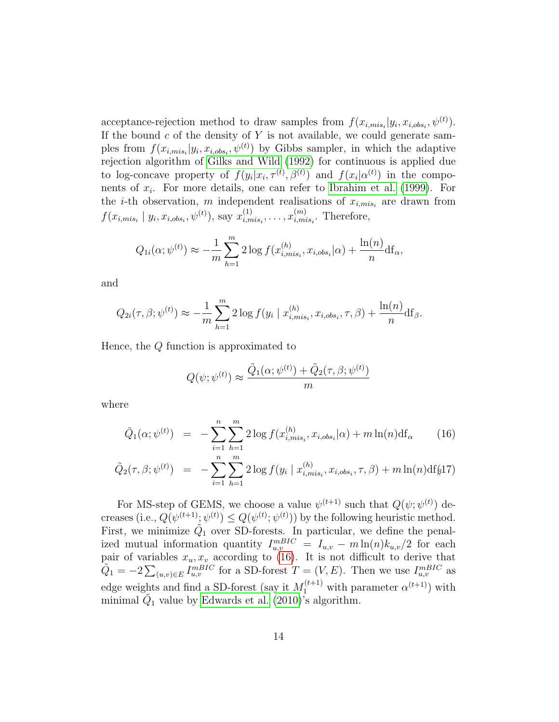acceptance-rejection method to draw samples from  $f(x_{i,mis_i}|y_i, x_{i,obs_i}, \psi^{(t)})$ . If the bound  $c$  of the density of  $Y$  is not available, we could generate samples from  $f(x_{i,mis_i}|y_i,x_{i,obs_i},\psi^{(t)})$  by Gibbs sampler, in which the adaptive rejection algorithm of [Gilks and Wild \(1992\)](#page-33-8) for continuous is applied due to log-concave property of  $f(y_i|x_i, \tau^{(t)}, \beta^{(t)})$  and  $f(x_i|\alpha^{(t)})$  in the components of  $x_i$ . For more details, one can refer to [Ibrahim et al. \(1999\)](#page-33-7). For the *i*-th observation, m independent realisations of  $x_{i,mis_i}$  are drawn from  $f(x_{i,mis_i} | y_i, x_{i,obs_i}, \psi^{(t)}), \text{ say } x_{i,m}^{(1)}$  $\hat{u}^{(1)}_{i,mis_i}, \ldots, \hat{x}^{(m)}_{i,mi}$  $\binom{m}{i,mis_i}$ . Therefore,

$$
Q_{1i}(\alpha; \psi^{(t)}) \approx -\frac{1}{m} \sum_{h=1}^{m} 2 \log f(x_{i, mis_i}^{(h)}, x_{i, obs_i} | \alpha) + \frac{\ln(n)}{n} df_{\alpha},
$$

and

$$
Q_{2i}(\tau, \beta; \psi^{(t)}) \approx -\frac{1}{m} \sum_{h=1}^{m} 2 \log f(y_i \mid x_{i, mis_i}^{(h)}, x_{i, obs_i}, \tau, \beta) + \frac{\ln(n)}{n} df_{\beta}.
$$

Hence, the Q function is approximated to

$$
Q(\psi; \psi^{(t)}) \approx \frac{\tilde{Q}_1(\alpha; \psi^{(t)}) + \tilde{Q}_2(\tau, \beta; \psi^{(t)})}{m}
$$

where

$$
\tilde{Q}_1(\alpha; \psi^{(t)}) = -\sum_{i=1}^n \sum_{h=1}^m 2 \log f(x_{i, mis_i}^{(h)}, x_{i, obs_i} | \alpha) + m \ln(n) \mathrm{df}_\alpha \tag{16}
$$

$$
\tilde{Q}_2(\tau, \beta; \psi^{(t)}) = -\sum_{i=1}^n \sum_{h=1}^m 2 \log f(y_i \mid x_{i, mis_i}^{(h)}, x_{i, obs_i}, \tau, \beta) + m \ln(n) \text{df}_{n} \text{d} \text{f}_{n}
$$

For MS-step of GEMS, we choose a value  $\psi^{(t+1)}$  such that  $Q(\psi; \psi^{(t)})$  decreases (i.e.,  $Q(\psi^{(t+1)}; \psi^{(t)}) \leq Q(\psi^{(t)}; \psi^{(t)})$ ) by the following heuristic method. First, we minimize  $\tilde{Q}_1$  over SD-forests. In particular, we define the penalized mutual information quantity  $I_{u,v}^{mBIC} = I_{u,v} - m \ln(n) k_{u,v}/2$  for each pair of variables  $x_u, x_v$  according to [\(16\)](#page-12-0). It is not difficult to derive that  $\tilde{Q}_1 = -2 \sum_{(u,v)\in E} I_{u,v}^{mBIC}$  for a SD-forest  $T = (V, E)$ . Then we use  $I_{u,v}^{mBIC}$  as edge weights and find a SD-forest (say it  $M_1^{(t+1)}$  with parameter  $\alpha^{(t+1)}$ ) with minimal  $\tilde{Q}_1$  value by [Edwards et al. \(2010\)](#page-32-4)'s algorithm.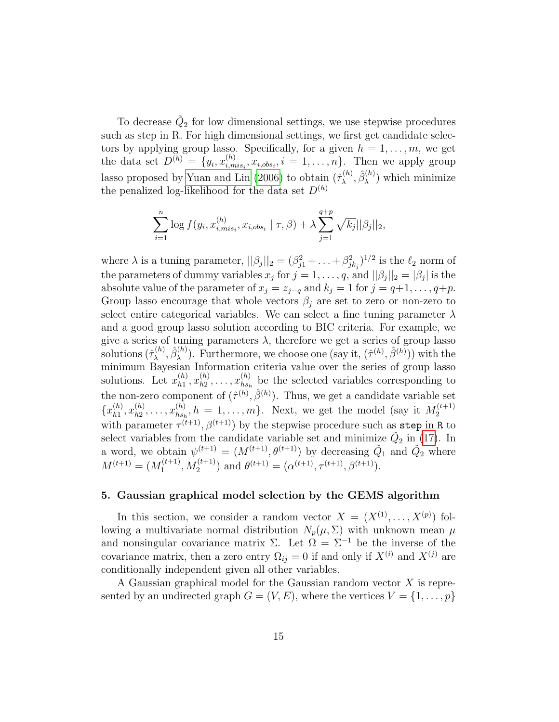To decrease  $\tilde{Q}_2$  for low dimensional settings, we use stepwise procedures such as step in R. For high dimensional settings, we first get candidate selectors by applying group lasso. Specifically, for a given  $h = 1, \ldots, m$ , we get the data set  $D^{(h)} = \{y_i, x_{i,m}^{(h)}\}$  $\sum_{i, mis_i}^{(n)}$ ,  $x_{i,obs_i}$ ,  $i = 1, ..., n$ . Then we apply group lasso proposed by [Yuan and Lin \(2006\)](#page-35-1) to obtain  $(\hat{\tau}_{\lambda}^{(h)})$  $\hat{\beta}_{\lambda}^{(h)}, \hat{\beta}_{\lambda}^{(h)}$  $\lambda^{(n)}$ ) which minimize the penalized log-likelihood for the data set  $D^{(h)}$ 

$$
\sum_{i=1}^{n} \log f(y_i, x_{i, mis_i}^{(h)}, x_{i, obs_i} | \tau, \beta) + \lambda \sum_{j=1}^{q+p} \sqrt{k_j} ||\beta_j||_2,
$$

where  $\lambda$  is a tuning parameter,  $||\beta_j||_2 = (\beta_{j1}^2 + \ldots + \beta_{jk_j}^2)^{1/2}$  is the  $\ell_2$  norm of the parameters of dummy variables  $x_j$  for  $j = 1, \ldots, q$ , and  $||\beta_j||_2 = |\beta_j|$  is the absolute value of the parameter of  $x_j = z_{j-q}$  and  $k_j = 1$  for  $j = q+1, \ldots, q+p$ . Group lasso encourage that whole vectors  $\beta_i$  are set to zero or non-zero to select entire categorical variables. We can select a fine tuning parameter  $\lambda$ and a good group lasso solution according to BIC criteria. For example, we give a series of tuning parameters  $\lambda$ , therefore we get a series of group lasso solutions  $(\hat{\tau}_{\lambda}^{(h)}$  $\hat{\beta}_{\lambda}^{(h)}, \hat{\beta}_{\lambda}^{(h)}$ (h). Furthermore, we choose one (say it,  $(\hat{\tau}^{(h)}, \hat{\beta}^{(h)})$ ) with the minimum Bayesian Information criteria value over the series of group lasso solutions. Let  $x_{h1}^{(h)}$  $\binom{h}{h1}, x_{h2}^{(h)}$  $\binom{h}{h2}, \ldots, x_{hs_k}^{(h)}$  $\binom{n}{h_{s}}$  be the selected variables corresponding to the non-zero component of  $(\hat{\tau}^{(h)}, \hat{\beta}^{(h)})$ . Thus, we get a candidate variable set  ${x_{h1}^{(h)}$  $\binom{h}{h1}, x_{h2}^{(h)}$  $\binom{h}{h2}, \ldots, x_{hs_h}^{(h)}$  $\binom{h}{h s_h}, h = 1, \ldots, m$ . Next, we get the model (say it  $M_2^{(t+1)}$ 2 with parameter  $\tau^{(t+1)}, \beta^{(t+1)}$  by the stepwise procedure such as step in R to select variables from the candidate variable set and minimize  $\tilde{Q}_2$  in [\(17\)](#page-12-0). In a word, we obtain  $\psi^{(t+1)} = (M^{(t+1)}, \theta^{(t+1)})$  by decreasing  $\tilde{Q}_1$  and  $\tilde{Q}_2$  where  $M^{(t+1)} = (M_1^{(t+1)}$  $\mathcal{M}_1^{(t+1)}, \mathcal{M}_2^{(t+1)}$  and  $\theta^{(t+1)} = (\alpha^{(t+1)}, \tau^{(t+1)}, \beta^{(t+1)})$ .

## 5. Gaussian graphical model selection by the GEMS algorithm

In this section, we consider a random vector  $X = (X^{(1)}, \ldots, X^{(p)})$  following a multivariate normal distribution  $N_p(\mu, \Sigma)$  with unknown mean  $\mu$ and nonsingular covariance matrix  $\Sigma$ . Let  $\Omega = \Sigma^{-1}$  be the inverse of the covariance matrix, then a zero entry  $\Omega_{ij} = 0$  if and only if  $X^{(i)}$  and  $X^{(j)}$  are conditionally independent given all other variables.

A Gaussian graphical model for the Gaussian random vector X is represented by an undirected graph  $G = (V, E)$ , where the vertices  $V = \{1, \ldots, p\}$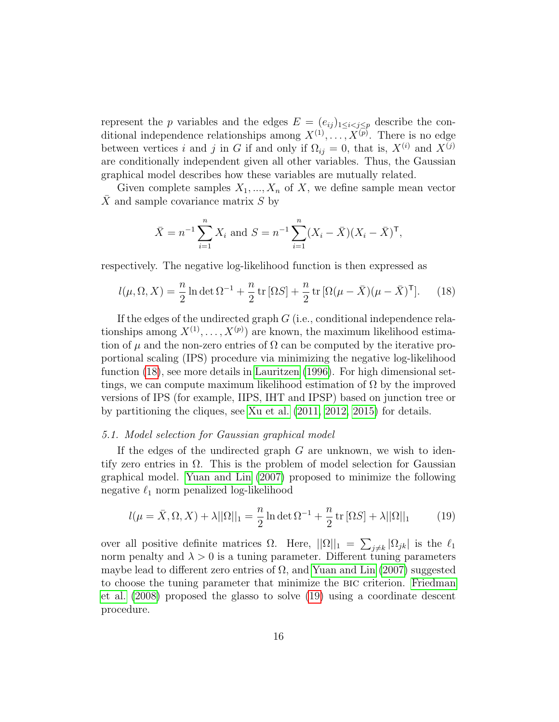represent the p variables and the edges  $E = (e_{ij})_{1 \leq i < j \leq p}$  describe the conditional independence relationships among  $X^{(1)}, \ldots, X^{(p)}$ . There is no edge between vertices i and j in G if and only if  $\Omega_{ij} = 0$ , that is,  $X^{(i)}$  and  $X^{(j)}$ are conditionally independent given all other variables. Thus, the Gaussian graphical model describes how these variables are mutually related.

Given complete samples  $X_1, ..., X_n$  of X, we define sample mean vector  $\overline{X}$  and sample covariance matrix S by

$$
\bar{X} = n^{-1} \sum_{i=1}^{n} X_i
$$
 and  $S = n^{-1} \sum_{i=1}^{n} (X_i - \bar{X})(X_i - \bar{X})^{\mathsf{T}},$ 

respectively. The negative log-likelihood function is then expressed as

<span id="page-15-0"></span>
$$
l(\mu,\Omega,X) = \frac{n}{2}\ln\det\Omega^{-1} + \frac{n}{2}\operatorname{tr}\left[\Omega S\right] + \frac{n}{2}\operatorname{tr}\left[\Omega(\mu-\bar{X})(\mu-\bar{X})^{\mathsf{T}}\right].\tag{18}
$$

If the edges of the undirected graph G (i.e., conditional independence relationships among  $X^{(1)}, \ldots, X^{(p)}$  are known, the maximum likelihood estimation of  $\mu$  and the non-zero entries of  $\Omega$  can be computed by the iterative proportional scaling (IPS) procedure via minimizing the negative log-likelihood function [\(18\)](#page-15-0), see more details in [Lauritzen \(1996\)](#page-34-7). For high dimensional settings, we can compute maximum likelihood estimation of  $\Omega$  by the improved versions of IPS (for example, IIPS, IHT and IPSP) based on junction tree or by partitioning the cliques, see [Xu et al. \(2011,](#page-35-4) [2012,](#page-35-5) [2015\)](#page-35-6) for details.

#### 5.1. Model selection for Gaussian graphical model

If the edges of the undirected graph  $G$  are unknown, we wish to identify zero entries in  $\Omega$ . This is the problem of model selection for Gaussian graphical model. [Yuan and Lin \(2007\)](#page-35-7) proposed to minimize the following negative  $\ell_1$  norm penalized log-likelihood

<span id="page-15-1"></span>
$$
l(\mu = \bar{X}, \Omega, X) + \lambda ||\Omega||_1 = \frac{n}{2} \ln \det \Omega^{-1} + \frac{n}{2} \operatorname{tr}[\Omega S] + \lambda ||\Omega||_1 \tag{19}
$$

over all positive definite matrices Ω. Here,  $||\Omega||_1 = \sum_{j \neq k} |\Omega_{jk}|$  is the  $\ell_1$ norm penalty and  $\lambda > 0$  is a tuning parameter. Different tuning parameters maybe lead to different zero entries of  $\Omega$ , and [Yuan and Lin \(2007\)](#page-35-7) suggested to choose the tuning parameter that minimize the bic criterion. [Friedman](#page-32-7) [et al. \(2008\)](#page-32-7) proposed the glasso to solve [\(19\)](#page-15-1) using a coordinate descent procedure.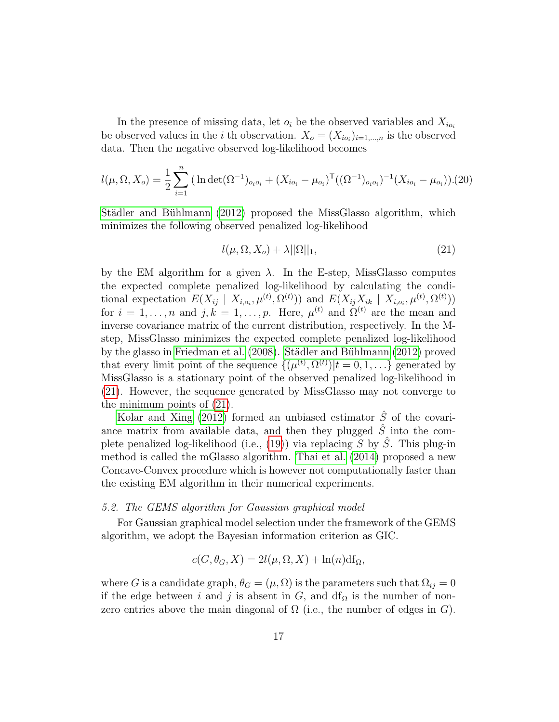In the presence of missing data, let  $o_i$  be the observed variables and  $X_{io_i}$ be observed values in the *i* th observation.  $X_o = (X_{io_i})_{i=1,\dots,n}$  is the observed data. Then the negative observed log-likelihood becomes

<span id="page-16-1"></span>
$$
l(\mu, \Omega, X_o) = \frac{1}{2} \sum_{i=1}^{n} (\ln \det(\Omega^{-1})_{o_i o_i} + (X_{io_i} - \mu_{o_i})^{\mathsf{T}}((\Omega^{-1})_{o_i o_i})^{-1}(X_{io_i} - \mu_{o_i})).(20)
$$

Städler and Bühlmann (2012) proposed the MissGlasso algorithm, which minimizes the following observed penalized log-likelihood

<span id="page-16-0"></span>
$$
l(\mu, \Omega, X_o) + \lambda ||\Omega||_1,\tag{21}
$$

by the EM algorithm for a given  $\lambda$ . In the E-step, MissGlasso computes the expected complete penalized log-likelihood by calculating the conditional expectation  $E(X_{ij} | X_{i,o_i}, \mu^{(t)}, \Omega^{(t)})$  and  $E(X_{ij}X_{ik} | X_{i,o_i}, \mu^{(t)}, \Omega^{(t)})$ for  $i = 1, ..., n$  and  $j, k = 1, ..., p$ . Here,  $\mu^{(t)}$  and  $\Omega^{(t)}$  are the mean and inverse covariance matrix of the current distribution, respectively. In the Mstep, MissGlasso minimizes the expected complete penalized log-likelihood by the glasso in Friedman et al.  $(2008)$ . Städler and Bühlmann  $(2012)$  proved that every limit point of the sequence  $\{(\mu^{(t)}, \Omega^{(t)}) | t = 0, 1, \ldots \}$  generated by MissGlasso is a stationary point of the observed penalized log-likelihood in [\(21\)](#page-16-0). However, the sequence generated by MissGlasso may not converge to the minimum points of [\(21\)](#page-16-0).

[Kolar and Xing \(2012\)](#page-34-9) formed an unbiased estimator  $\hat{S}$  of the covariance matrix from available data, and then they plugged  $\hat{S}$  into the com-plete penalized log-likelihood (i.e., [\(19\)](#page-15-1)) via replacing S by  $\hat{S}$ . This plug-in method is called the mGlasso algorithm. [Thai et al. \(2014\)](#page-35-8) proposed a new Concave-Convex procedure which is however not computationally faster than the existing EM algorithm in their numerical experiments.

#### 5.2. The GEMS algorithm for Gaussian graphical model

For Gaussian graphical model selection under the framework of the GEMS algorithm, we adopt the Bayesian information criterion as GIC.

$$
c(G, \theta_G, X) = 2l(\mu, \Omega, X) + \ln(n) \mathrm{df}_\Omega,
$$

where G is a candidate graph,  $\theta_G = (\mu, \Omega)$  is the parameters such that  $\Omega_{ij} = 0$ if the edge between i and j is absent in G, and df $_{\Omega}$  is the number of nonzero entries above the main diagonal of  $\Omega$  (i.e., the number of edges in G).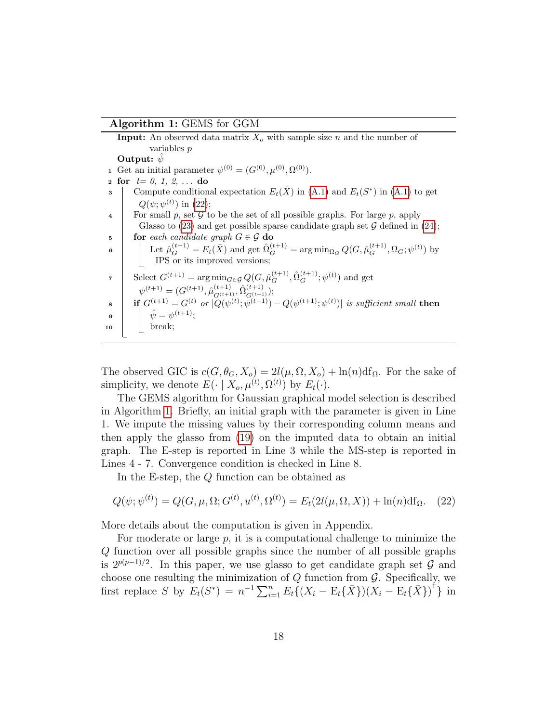# Algorithm 1: GEMS for GGM

|                | <b>Input:</b> An observed data matrix $Xo$ with sample size n and the number of                                                                     |
|----------------|-----------------------------------------------------------------------------------------------------------------------------------------------------|
|                | variables p                                                                                                                                         |
|                | Output: $\bar{\psi}$                                                                                                                                |
|                | 1 Get an initial parameter $\psi^{(0)} = (G^{(0)}, \mu^{(0)}, \Omega^{(0)})$ .                                                                      |
|                | <b>2</b> for $t=0, 1, 2, $ do                                                                                                                       |
| 3              | Compute conditional expectation $E_t(\bar{X})$ in (A.1) and $E_t(S^*)$ in (A.1) to get                                                              |
|                | $Q(\psi; \psi^{(t)})$ in (22);                                                                                                                      |
| 4              | For small p, set $G$ to be the set of all possible graphs. For large p, apply                                                                       |
|                | Glasso to (23) and get possible sparse candidate graph set $\mathcal G$ defined in (24);                                                            |
| 5              | for each candidate graph $G \in \mathcal{G}$ do                                                                                                     |
| 6              | Let $\hat{\mu}_G^{(t+1)} = E_t(\bar{X})$ and get $\hat{\Omega}_G^{(t+1)} = \arg \min_{\Omega_G} Q(G, \hat{\mu}_G^{(t+1)}, \Omega_G; \psi^{(t)})$ by |
|                | IPS or its improved versions;                                                                                                                       |
|                |                                                                                                                                                     |
| $\overline{7}$ | Select $G^{(t+1)} = \arg \min_{G \in \mathcal{G}} Q(G, \hat{\mu}_G^{(t+1)}, \hat{\Omega}_G^{(t+1)}; \psi^{(t)})$ and get                            |
|                | $\psi^{(t+1)} = (G^{(t+1)}, \hat{\mu}_{G^{(t+1)}}^{(t+1)}, \hat{\Omega}_{G^{(t+1)}}^{(t+1)});$                                                      |
| 8              | if $G^{(t+1)} = G^{(t)}$ or $ \tilde{Q}(\psi^{(t)}; \tilde{\psi}^{(t-1)}) - Q(\psi^{(t+1)}; \psi^{(t)}) $ is sufficient small then                  |
| 9              | $\hat{\psi} = \psi^{(t+1)};$                                                                                                                        |
| 10             | break;                                                                                                                                              |
|                |                                                                                                                                                     |

The observed GIC is  $c(G, \theta_G, X_o) = 2l(\mu, \Omega, X_o) + \ln(n)df_\Omega$ . For the sake of simplicity, we denote  $E(\cdot | X_o, \mu^{(t)}, \Omega^{(t)})$  by  $E_t(\cdot)$ .

<span id="page-17-1"></span>The GEMS algorithm for Gaussian graphical model selection is described in Algorithm [1.](#page-17-1) Briefly, an initial graph with the parameter is given in Line 1. We impute the missing values by their corresponding column means and then apply the glasso from [\(19\)](#page-15-1) on the imputed data to obtain an initial graph. The E-step is reported in Line 3 while the MS-step is reported in Lines 4 - 7. Convergence condition is checked in Line 8.

In the E-step, the Q function can be obtained as

<span id="page-17-0"></span>
$$
Q(\psi; \psi^{(t)}) = Q(G, \mu, \Omega; G^{(t)}, u^{(t)}, \Omega^{(t)}) = E_t(2l(\mu, \Omega, X)) + \ln(n) \mathrm{df}_{\Omega}. \tag{22}
$$

More details about the computation is given in Appendix.

For moderate or large  $p$ , it is a computational challenge to minimize the Q function over all possible graphs since the number of all possible graphs is  $2^{p(p-1)/2}$ . In this paper, we use glasso to get candidate graph set G and choose one resulting the minimization of  $Q$  function from  $\mathcal G$ . Specifically, we first replace S by  $E_t(S^*) = n^{-1} \sum_{i=1}^n E_t \{(X_i - \mathbb{E}_t \{\bar{X}\}) (X_i - \mathbb{E}_t \{\bar{X}\})^{\dagger}\}\$ in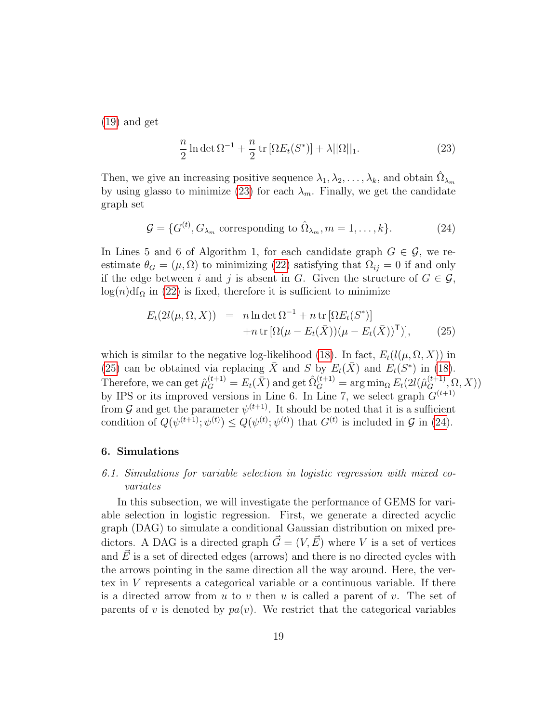[\(19\)](#page-15-1) and get

<span id="page-18-0"></span>
$$
\frac{n}{2}\ln\det\Omega^{-1} + \frac{n}{2}\operatorname{tr}\left[\Omega E_t(S^*)\right] + \lambda ||\Omega||_1. \tag{23}
$$

Then, we give an increasing positive sequence  $\lambda_1, \lambda_2, \ldots, \lambda_k$ , and obtain  $\hat{\Omega}_{\lambda_m}$ by using glasso to minimize [\(23\)](#page-18-0) for each  $\lambda_m$ . Finally, we get the candidate graph set

<span id="page-18-1"></span>
$$
\mathcal{G} = \{G^{(t)}, G_{\lambda_m} \text{ corresponding to } \hat{\Omega}_{\lambda_m}, m = 1, \dots, k\}. \tag{24}
$$

In Lines 5 and 6 of Algorithm 1, for each candidate graph  $G \in \mathcal{G}$ , we reestimate  $\theta_G = (\mu, \Omega)$  to minimizing [\(22\)](#page-17-0) satisfying that  $\Omega_{ij} = 0$  if and only if the edge between i and j is absent in G. Given the structure of  $G \in \mathcal{G}$ ,  $log(n)d f_{\Omega}$  in [\(22\)](#page-17-0) is fixed, therefore it is sufficient to minimize

<span id="page-18-2"></span>
$$
E_t(2l(\mu, \Omega, X)) = n \ln \det \Omega^{-1} + n \operatorname{tr} [\Omega E_t(S^*)]
$$
  
+ n \operatorname{tr} [\Omega(\mu - E\_t(\bar{X}))(\mu - E\_t(\bar{X}))^{\mathsf{T}})], (25)

which is similar to the negative log-likelihood [\(18\)](#page-15-0). In fact,  $E_t(l(\mu, \Omega, X))$  in [\(25\)](#page-18-2) can be obtained via replacing  $\bar{X}$  and S by  $E_t(\bar{X})$  and  $E_t(S^*)$  in [\(18\)](#page-15-0). Therefore, we can get  $\hat{\mu}_G^{(t+1)} = E_t(\bar{X})$  and get  $\hat{\Omega}_G^{(t+1)} = \arg \min_{\Omega} E_t(2l(\hat{\mu}_G^{(t+1)}, \Omega, X))$ by IPS or its improved versions in Line 6. In Line 7, we select graph  $G^{(t+1)}$ from G and get the parameter  $\psi^{(t+1)}$ . It should be noted that it is a sufficient condition of  $Q(\psi^{(t+1)}; \psi^{(t)}) \leq Q(\psi^{(t)}; \psi^{(t)})$  that  $G^{(t)}$  is included in  $\mathcal G$  in [\(24\)](#page-18-1).

#### 6. Simulations

# 6.1. Simulations for variable selection in logistic regression with mixed covariates

In this subsection, we will investigate the performance of GEMS for variable selection in logistic regression. First, we generate a directed acyclic graph (DAG) to simulate a conditional Gaussian distribution on mixed predictors. A DAG is a directed graph  $\vec{G} = (V, \vec{E})$  where V is a set of vertices and  $\vec{E}$  is a set of directed edges (arrows) and there is no directed cycles with the arrows pointing in the same direction all the way around. Here, the vertex in V represents a categorical variable or a continuous variable. If there is a directed arrow from u to v then u is called a parent of v. The set of parents of v is denoted by  $pa(v)$ . We restrict that the categorical variables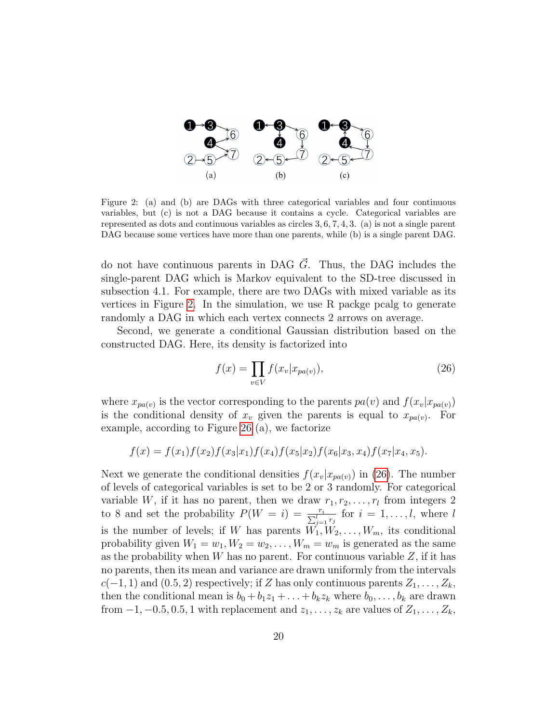

<span id="page-19-0"></span>Figure 2: (a) and (b) are DAGs with three categorical variables and four continuous variables, but (c) is not a DAG because it contains a cycle. Categorical variables are represented as dots and continuous variables as circles 3, 6, 7, 4, 3. (a) is not a single parent DAG because some vertices have more than one parents, while (b) is a single parent DAG.

do not have continuous parents in DAG  $\vec{G}$ . Thus, the DAG includes the single-parent DAG which is Markov equivalent to the SD-tree discussed in subsection 4.1. For example, there are two DAGs with mixed variable as its vertices in Figure [2.](#page-19-0) In the simulation, we use R packge pcalg to generate randomly a DAG in which each vertex connects 2 arrows on average.

Second, we generate a conditional Gaussian distribution based on the constructed DAG. Here, its density is factorized into

<span id="page-19-1"></span>
$$
f(x) = \prod_{v \in V} f(x_v | x_{pa(v)}),
$$
\n(26)

where  $x_{pa(v)}$  is the vector corresponding to the parents  $pa(v)$  and  $f(x_v|x_{pa(v)})$ is the conditional density of  $x_v$  given the parents is equal to  $x_{pa(v)}$ . For example, according to Figure [26](#page-19-1) (a), we factorize

$$
f(x) = f(x_1)f(x_2)f(x_3|x_1)f(x_4)f(x_5|x_2)f(x_6|x_3,x_4)f(x_7|x_4,x_5).
$$

Next we generate the conditional densities  $f(x_v|x_{pa(v)})$  in [\(26\)](#page-19-1). The number of levels of categorical variables is set to be 2 or 3 randomly. For categorical variable W, if it has no parent, then we draw  $r_1, r_2, \ldots, r_l$  from integers 2 to 8 and set the probability  $P(W = i) = \frac{r_i}{\sum_{j=1}^l r_j}$  for  $i = 1, ..., l$ , where l is the number of levels; if W has parents  $W_1, W_2, \ldots, W_m$ , its conditional probability given  $W_1 = w_1, W_2 = w_2, \ldots, W_m = w_m$  is generated as the same as the probability when W has no parent. For continuous variable  $Z$ , if it has no parents, then its mean and variance are drawn uniformly from the intervals  $c(-1, 1)$  and  $(0.5, 2)$  respectively; if Z has only continuous parents  $Z_1, \ldots, Z_k$ , then the conditional mean is  $b_0 + b_1 z_1 + \ldots + b_k z_k$  where  $b_0, \ldots, b_k$  are drawn from  $-1, -0.5, 0.5, 1$  with replacement and  $z_1, \ldots, z_k$  are values of  $Z_1, \ldots, Z_k$ ,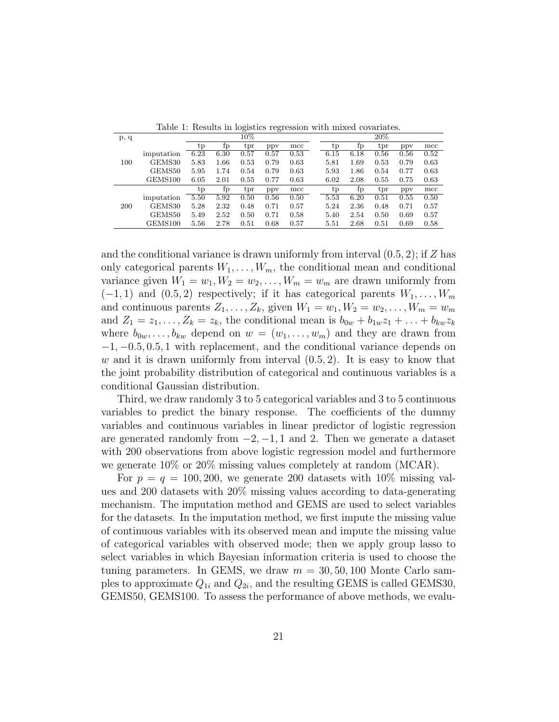| p, q |            |      |      | $10\%$ |      |      |      |      | 20%  |      |      |
|------|------------|------|------|--------|------|------|------|------|------|------|------|
|      |            | tp   | fp   | tpr    | ppy  | mcc  | tp   | fp   | tpr  | ppy  | mcc  |
|      | imputation | 6.23 | 6.30 | 0.57   | 0.57 | 0.53 | 6.15 | 6.18 | 0.56 | 0.56 | 0.52 |
| 100  | GEMS30     | 5.83 | 1.66 | 0.53   | 0.79 | 0.63 | 5.81 | 1.69 | 0.53 | 0.79 | 0.63 |
|      | GEMS50     | 5.95 | 1.74 | 0.54   | 0.79 | 0.63 | 5.93 | 1.86 | 0.54 | 0.77 | 0.63 |
|      | GEMS100    | 6.05 | 2.01 | 0.55   | 0.77 | 0.63 | 6.02 | 2.08 | 0.55 | 0.75 | 0.63 |
|      |            | tp   | fp   | tpr    | ppy  | mcc  | tp   | fp   | tpr  | ppy  | mcc  |
|      | imputation | 5.50 | 5.92 | 0.50   | 0.56 | 0.50 | 5.53 | 6.20 | 0.51 | 0.55 | 0.50 |
| 200  | GEMS30     | 5.28 | 2.32 | 0.48   | 0.71 | 0.57 | 5.24 | 2.36 | 0.48 | 0.71 | 0.57 |
|      | GEMS50     | 5.49 | 2.52 | 0.50   | 0.71 | 0.58 | 5.40 | 2.54 | 0.50 | 0.69 | 0.57 |
|      | GEMS100    | 5.56 | 2.78 | 0.51   | 0.68 | 0.57 | 5.51 | 2.68 | 0.51 | 0.69 | 0.58 |

<span id="page-20-0"></span>Table 1: Results in logistics regression with mixed covariates.

and the conditional variance is drawn uniformly from interval  $(0.5, 2)$ ; if Z has only categorical parents  $W_1, \ldots, W_m$ , the conditional mean and conditional variance given  $W_1 = w_1, W_2 = w_2, \ldots, W_m = w_m$  are drawn uniformly from  $(-1, 1)$  and  $(0.5, 2)$  respectively; if it has categorical parents  $W_1, \ldots, W_m$ and continuous parents  $Z_1, \ldots, Z_k$ , given  $W_1 = w_1, W_2 = w_2, \ldots, W_m = w_m$ and  $Z_1 = z_1, \ldots, Z_k = z_k$ , the conditional mean is  $b_{0w} + b_{1w}z_1 + \ldots + b_{kw}z_k$ where  $b_{0w}, \ldots, b_{kw}$  depend on  $w = (w_1, \ldots, w_m)$  and they are drawn from  $-1, -0.5, 0.5, 1$  with replacement, and the conditional variance depends on w and it is drawn uniformly from interval  $(0.5, 2)$ . It is easy to know that the joint probability distribution of categorical and continuous variables is a conditional Gaussian distribution.

Third, we draw randomly 3 to 5 categorical variables and 3 to 5 continuous variables to predict the binary response. The coefficients of the dummy variables and continuous variables in linear predictor of logistic regression are generated randomly from  $-2$ ,  $-1$ , 1 and 2. Then we generate a dataset with 200 observations from above logistic regression model and furthermore we generate 10% or 20% missing values completely at random (MCAR).

For  $p = q = 100, 200$ , we generate 200 datasets with 10% missing values and 200 datasets with 20% missing values according to data-generating mechanism. The imputation method and GEMS are used to select variables for the datasets. In the imputation method, we first impute the missing value of continuous variables with its observed mean and impute the missing value of categorical variables with observed mode; then we apply group lasso to select variables in which Bayesian information criteria is used to choose the tuning parameters. In GEMS, we draw  $m = 30, 50, 100$  Monte Carlo samples to approximate  $Q_{1i}$  and  $Q_{2i}$ , and the resulting GEMS is called GEMS30, GEMS50, GEMS100. To assess the performance of above methods, we evalu-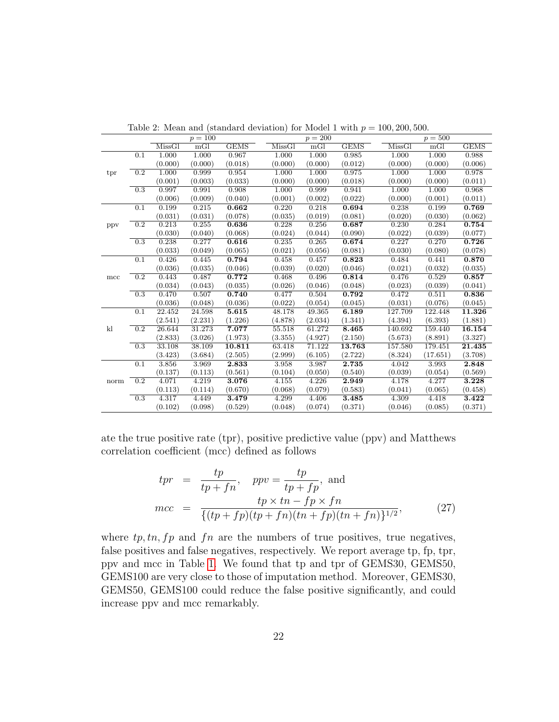| mGI<br>mGI<br>mGI<br><b>GEMS</b><br>MissGl<br><b>GEMS</b><br>MissGl<br><b>GEMS</b><br>MissGl<br>1.000<br>0.967<br>1.000<br>1.000<br>0.1<br>1.000<br>1.000<br>0.985<br>1.000<br>0.988<br>(0.000)<br>(0.018)<br>(0.000)<br>(0.000)<br>(0.006)<br>(0.000)<br>(0.000)<br>(0.012)<br>(0.000)<br>$\overline{0.2}$<br>1.000<br>0.999<br>0.954<br>1.000<br>1.000<br>0.975<br>1.000<br>1.000<br>0.978<br>tpr<br>(0.033)<br>(0.000)<br>(0.000)<br>(0.001)<br>(0.003)<br>(0.000)<br>(0.018)<br>(0.000)<br>(0.011)<br>$\overline{0.3}$<br>0.997<br>0.991<br>0.908<br>0.999<br>0.941<br>1.000<br>1.000<br>0.968<br>1.000<br>(0.040)<br>(0.006)<br>(0.009)<br>(0.001)<br>(0.002)<br>(0.022)<br>(0.000)<br>(0.001)<br>(0.011)<br>0.238<br>0.769<br>0.1<br>0.199<br>0.215<br>0.662<br>0.220<br>0.218<br>0.694<br>0.199<br>(0.020)<br>(0.031)<br>(0.031)<br>(0.078)<br>(0.035)<br>(0.019)<br>(0.081)<br>(0.030)<br>(0.062)<br>0.256<br>0.213<br>0.255<br>0.636<br>0.228<br>0.687<br>0.230<br>0.284<br>0.754<br>$\overline{0.2}$<br>ppv<br>(0.039)<br>(0.030)<br>(0.040)<br>(0.068)<br>(0.024)<br>(0.044)<br>(0.090)<br>(0.022)<br>(0.077)<br>0.3<br>0.238<br>0.277<br>0.616<br>0.235<br>0.265<br>0.674<br>0.227<br>0.270<br>0.726<br>(0.033)<br>(0.049)<br>(0.065)<br>(0.021)<br>(0.056)<br>(0.081)<br>(0.030)<br>(0.080)<br>(0.078)<br>0.426<br>0.823<br>0.484<br>0.1<br>0.445<br>0.794<br>0.458<br>0.457<br>0.441<br>0.870<br>(0.032)<br>(0.036)<br>(0.035)<br>(0.046)<br>(0.039)<br>(0.020)<br>(0.046)<br>(0.021)<br>(0.035) |     |                  |       | $p = 100$ |       |       | $p = 200$ |       |       | $p = 500$ |       |
|----------------------------------------------------------------------------------------------------------------------------------------------------------------------------------------------------------------------------------------------------------------------------------------------------------------------------------------------------------------------------------------------------------------------------------------------------------------------------------------------------------------------------------------------------------------------------------------------------------------------------------------------------------------------------------------------------------------------------------------------------------------------------------------------------------------------------------------------------------------------------------------------------------------------------------------------------------------------------------------------------------------------------------------------------------------------------------------------------------------------------------------------------------------------------------------------------------------------------------------------------------------------------------------------------------------------------------------------------------------------------------------------------------------------------------------------------------------------------------------------------------------|-----|------------------|-------|-----------|-------|-------|-----------|-------|-------|-----------|-------|
|                                                                                                                                                                                                                                                                                                                                                                                                                                                                                                                                                                                                                                                                                                                                                                                                                                                                                                                                                                                                                                                                                                                                                                                                                                                                                                                                                                                                                                                                                                                |     |                  |       |           |       |       |           |       |       |           |       |
|                                                                                                                                                                                                                                                                                                                                                                                                                                                                                                                                                                                                                                                                                                                                                                                                                                                                                                                                                                                                                                                                                                                                                                                                                                                                                                                                                                                                                                                                                                                |     |                  |       |           |       |       |           |       |       |           |       |
|                                                                                                                                                                                                                                                                                                                                                                                                                                                                                                                                                                                                                                                                                                                                                                                                                                                                                                                                                                                                                                                                                                                                                                                                                                                                                                                                                                                                                                                                                                                |     |                  |       |           |       |       |           |       |       |           |       |
|                                                                                                                                                                                                                                                                                                                                                                                                                                                                                                                                                                                                                                                                                                                                                                                                                                                                                                                                                                                                                                                                                                                                                                                                                                                                                                                                                                                                                                                                                                                |     |                  |       |           |       |       |           |       |       |           |       |
|                                                                                                                                                                                                                                                                                                                                                                                                                                                                                                                                                                                                                                                                                                                                                                                                                                                                                                                                                                                                                                                                                                                                                                                                                                                                                                                                                                                                                                                                                                                |     |                  |       |           |       |       |           |       |       |           |       |
|                                                                                                                                                                                                                                                                                                                                                                                                                                                                                                                                                                                                                                                                                                                                                                                                                                                                                                                                                                                                                                                                                                                                                                                                                                                                                                                                                                                                                                                                                                                |     |                  |       |           |       |       |           |       |       |           |       |
|                                                                                                                                                                                                                                                                                                                                                                                                                                                                                                                                                                                                                                                                                                                                                                                                                                                                                                                                                                                                                                                                                                                                                                                                                                                                                                                                                                                                                                                                                                                |     |                  |       |           |       |       |           |       |       |           |       |
|                                                                                                                                                                                                                                                                                                                                                                                                                                                                                                                                                                                                                                                                                                                                                                                                                                                                                                                                                                                                                                                                                                                                                                                                                                                                                                                                                                                                                                                                                                                |     |                  |       |           |       |       |           |       |       |           |       |
|                                                                                                                                                                                                                                                                                                                                                                                                                                                                                                                                                                                                                                                                                                                                                                                                                                                                                                                                                                                                                                                                                                                                                                                                                                                                                                                                                                                                                                                                                                                |     |                  |       |           |       |       |           |       |       |           |       |
|                                                                                                                                                                                                                                                                                                                                                                                                                                                                                                                                                                                                                                                                                                                                                                                                                                                                                                                                                                                                                                                                                                                                                                                                                                                                                                                                                                                                                                                                                                                |     |                  |       |           |       |       |           |       |       |           |       |
|                                                                                                                                                                                                                                                                                                                                                                                                                                                                                                                                                                                                                                                                                                                                                                                                                                                                                                                                                                                                                                                                                                                                                                                                                                                                                                                                                                                                                                                                                                                |     |                  |       |           |       |       |           |       |       |           |       |
|                                                                                                                                                                                                                                                                                                                                                                                                                                                                                                                                                                                                                                                                                                                                                                                                                                                                                                                                                                                                                                                                                                                                                                                                                                                                                                                                                                                                                                                                                                                |     |                  |       |           |       |       |           |       |       |           |       |
|                                                                                                                                                                                                                                                                                                                                                                                                                                                                                                                                                                                                                                                                                                                                                                                                                                                                                                                                                                                                                                                                                                                                                                                                                                                                                                                                                                                                                                                                                                                |     |                  |       |           |       |       |           |       |       |           |       |
|                                                                                                                                                                                                                                                                                                                                                                                                                                                                                                                                                                                                                                                                                                                                                                                                                                                                                                                                                                                                                                                                                                                                                                                                                                                                                                                                                                                                                                                                                                                |     |                  |       |           |       |       |           |       |       |           |       |
|                                                                                                                                                                                                                                                                                                                                                                                                                                                                                                                                                                                                                                                                                                                                                                                                                                                                                                                                                                                                                                                                                                                                                                                                                                                                                                                                                                                                                                                                                                                |     |                  |       |           |       |       |           |       |       |           |       |
|                                                                                                                                                                                                                                                                                                                                                                                                                                                                                                                                                                                                                                                                                                                                                                                                                                                                                                                                                                                                                                                                                                                                                                                                                                                                                                                                                                                                                                                                                                                | mcc | $\overline{0.2}$ | 0.443 | 0.487     | 0.772 | 0.468 | 0.496     | 0.814 | 0.476 | 0.529     | 0.857 |
| (0.035)<br>(0.026)<br>(0.048)<br>(0.039)<br>(0.034)<br>(0.043)<br>(0.046)<br>(0.023)<br>(0.041)                                                                                                                                                                                                                                                                                                                                                                                                                                                                                                                                                                                                                                                                                                                                                                                                                                                                                                                                                                                                                                                                                                                                                                                                                                                                                                                                                                                                                |     |                  |       |           |       |       |           |       |       |           |       |
| $\overline{0.3}$<br>0.470<br>0.507<br>0.740<br>0.477<br>0.504<br>0.792<br>0.472<br>0.511<br>0.836                                                                                                                                                                                                                                                                                                                                                                                                                                                                                                                                                                                                                                                                                                                                                                                                                                                                                                                                                                                                                                                                                                                                                                                                                                                                                                                                                                                                              |     |                  |       |           |       |       |           |       |       |           |       |
| (0.036)<br>(0.054)<br>(0.031)<br>(0.076)<br>(0.036)<br>(0.048)<br>(0.022)<br>(0.045)<br>(0.045)                                                                                                                                                                                                                                                                                                                                                                                                                                                                                                                                                                                                                                                                                                                                                                                                                                                                                                                                                                                                                                                                                                                                                                                                                                                                                                                                                                                                                |     |                  |       |           |       |       |           |       |       |           |       |
| 22.452<br>5.615<br>6.189<br>127.709<br>122.448<br>11.326<br>0.1<br>24.598<br>48.178<br>49.365                                                                                                                                                                                                                                                                                                                                                                                                                                                                                                                                                                                                                                                                                                                                                                                                                                                                                                                                                                                                                                                                                                                                                                                                                                                                                                                                                                                                                  |     |                  |       |           |       |       |           |       |       |           |       |
| (2.231)<br>(1.226)<br>(1.341)<br>(6.393)<br>(1.881)<br>(2.541)<br>(4.878)<br>(2.034)<br>(4.394)                                                                                                                                                                                                                                                                                                                                                                                                                                                                                                                                                                                                                                                                                                                                                                                                                                                                                                                                                                                                                                                                                                                                                                                                                                                                                                                                                                                                                |     |                  |       |           |       |       |           |       |       |           |       |
| 7.077<br>61.272<br>8.465<br>16.154<br>kl<br>$\overline{0.2}$<br>26.644<br>31.273<br>55.518<br>140.692<br>159.440                                                                                                                                                                                                                                                                                                                                                                                                                                                                                                                                                                                                                                                                                                                                                                                                                                                                                                                                                                                                                                                                                                                                                                                                                                                                                                                                                                                               |     |                  |       |           |       |       |           |       |       |           |       |
| (3.026)<br>(1.973)<br>(3.355)<br>(4.927)<br>(2.150)<br>(5.673)<br>(8.891)<br>(3.327)<br>(2.833)                                                                                                                                                                                                                                                                                                                                                                                                                                                                                                                                                                                                                                                                                                                                                                                                                                                                                                                                                                                                                                                                                                                                                                                                                                                                                                                                                                                                                |     |                  |       |           |       |       |           |       |       |           |       |
| $\overline{0.3}$<br>33.108<br>10.811<br>63.418<br>157.580<br>21.435<br>38.109<br>71.122<br>13.763<br>179.451                                                                                                                                                                                                                                                                                                                                                                                                                                                                                                                                                                                                                                                                                                                                                                                                                                                                                                                                                                                                                                                                                                                                                                                                                                                                                                                                                                                                   |     |                  |       |           |       |       |           |       |       |           |       |
| (3.423)<br>(2.505)<br>(2.999)<br>(6.105)<br>(2.722)<br>(8.324)<br>(3.708)<br>(3.684)<br>(17.651)                                                                                                                                                                                                                                                                                                                                                                                                                                                                                                                                                                                                                                                                                                                                                                                                                                                                                                                                                                                                                                                                                                                                                                                                                                                                                                                                                                                                               |     |                  |       |           |       |       |           |       |       |           |       |
| 3.856<br>3.969<br>2.833<br>3.987<br>2.735<br>4.042<br>3.993<br>2.848<br>0.1<br>3.958                                                                                                                                                                                                                                                                                                                                                                                                                                                                                                                                                                                                                                                                                                                                                                                                                                                                                                                                                                                                                                                                                                                                                                                                                                                                                                                                                                                                                           |     |                  |       |           |       |       |           |       |       |           |       |
| (0.137)<br>(0.113)<br>(0.561)<br>(0.104)<br>(0.050)<br>(0.540)<br>(0.039)<br>(0.054)<br>(0.569)                                                                                                                                                                                                                                                                                                                                                                                                                                                                                                                                                                                                                                                                                                                                                                                                                                                                                                                                                                                                                                                                                                                                                                                                                                                                                                                                                                                                                |     |                  |       |           |       |       |           |       |       |           |       |
| $\overline{0.2}$<br>4.219<br>3.076<br>4.226<br>2.949<br>4.178<br>4.277<br>3.228<br>4.071<br>4.155<br>norm                                                                                                                                                                                                                                                                                                                                                                                                                                                                                                                                                                                                                                                                                                                                                                                                                                                                                                                                                                                                                                                                                                                                                                                                                                                                                                                                                                                                      |     |                  |       |           |       |       |           |       |       |           |       |
| (0.113)<br>(0.670)<br>(0.079)<br>(0.583)<br>(0.065)<br>(0.114)<br>(0.068)<br>(0.041)<br>(0.458)                                                                                                                                                                                                                                                                                                                                                                                                                                                                                                                                                                                                                                                                                                                                                                                                                                                                                                                                                                                                                                                                                                                                                                                                                                                                                                                                                                                                                |     |                  |       |           |       |       |           |       |       |           |       |
| $\overline{0.3}$<br>4.317<br>4.299<br>3.485<br>3.422<br>4.449<br>3.479<br>4.406<br>4.309<br>4.418                                                                                                                                                                                                                                                                                                                                                                                                                                                                                                                                                                                                                                                                                                                                                                                                                                                                                                                                                                                                                                                                                                                                                                                                                                                                                                                                                                                                              |     |                  |       |           |       |       |           |       |       |           |       |
| (0.102)<br>(0.098)<br>(0.529)<br>(0.048)<br>(0.074)<br>(0.371)<br>(0.046)<br>(0.085)<br>(0.371)                                                                                                                                                                                                                                                                                                                                                                                                                                                                                                                                                                                                                                                                                                                                                                                                                                                                                                                                                                                                                                                                                                                                                                                                                                                                                                                                                                                                                |     |                  |       |           |       |       |           |       |       |           |       |

<span id="page-21-1"></span>Table 2: Mean and (standard deviation) for Model 1 with  $p = 100, 200, 500$ .

ate the true positive rate (tpr), positive predictive value (ppv) and Matthews correlation coefficient (mcc) defined as follows

<span id="page-21-0"></span>
$$
tpr = \frac{tp}{tp + fn}, \quad ppv = \frac{tp}{tp + fp}, \text{ and}
$$

$$
mcc = \frac{tp \times tn - fp \times fn}{\{(tp + fp)(tp + fn)(tn + fp)(tn + fn)\}^{1/2}}, \tag{27}
$$

where  $tp, tn, fp$  and  $fn$  are the numbers of true positives, true negatives, false positives and false negatives, respectively. We report average tp, fp, tpr, ppv and mcc in Table [1.](#page-20-0) We found that tp and tpr of GEMS30, GEMS50, GEMS100 are very close to those of imputation method. Moreover, GEMS30, GEMS50, GEMS100 could reduce the false positive significantly, and could increase ppv and mcc remarkably.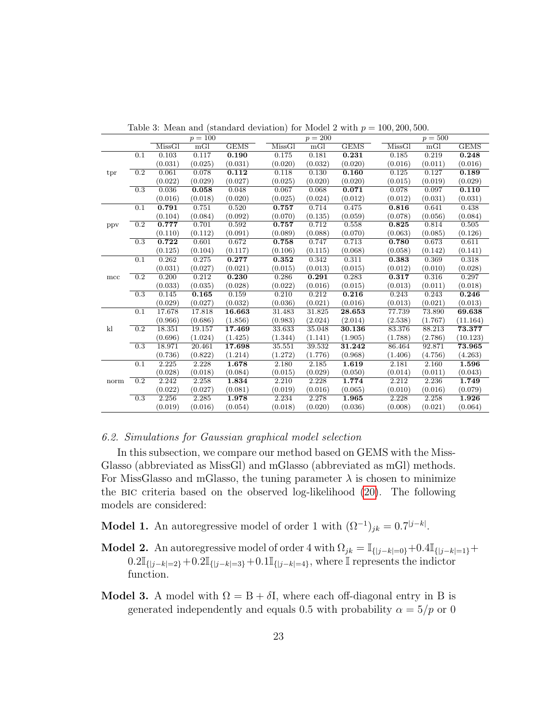|      |                  |         | $p = 100$ |             |         | $p = 200$ |             |         | $p = 500$ |             |
|------|------------------|---------|-----------|-------------|---------|-----------|-------------|---------|-----------|-------------|
|      |                  | MissGl  | mGI       | <b>GEMS</b> | MissGI  | mGI       | <b>GEMS</b> | MissGl  | mGI       | <b>GEMS</b> |
|      | 0.1              | 0.103   | 0.117     | 0.190       | 0.175   | 0.181     | 0.231       | 0.185   | 0.219     | 0.248       |
|      |                  | (0.031) | (0.025)   | (0.031)     | (0.020) | (0.032)   | (0.020)     | (0.016) | (0.011)   | (0.016)     |
| tpr  | $\overline{0.2}$ | 0.061   | 0.078     | 0.112       | 0.118   | 0.130     | 0.160       | 0.125   | 0.127     | 0.189       |
|      |                  | (0.022) | (0.029)   | (0.027)     | (0.025) | (0.020)   | (0.020)     | (0.015) | (0.019)   | (0.029)     |
|      | $\overline{0.3}$ | 0.036   | 0.058     | 0.048       | 0.067   | 0.068     | 0.071       | 0.078   | 0.097     | 0.110       |
|      |                  | (0.016) | (0.018)   | (0.020)     | (0.025) | (0.024)   | (0.012)     | (0.012) | (0.031)   | (0.031)     |
|      | 0.1              | 0.791   | 0.751     | 0.520       | 0.757   | 0.714     | 0.475       | 0.816   | 0.641     | 0.438       |
|      |                  | (0.104) | (0.084)   | (0.092)     | (0.070) | (0.135)   | (0.059)     | (0.078) | (0.056)   | (0.084)     |
| ppv  | $\overline{0.2}$ | 0.777   | 0.701     | 0.592       | 0.757   | 0.712     | 0.558       | 0.825   | 0.814     | 0.505       |
|      |                  | (0.110) | (0.112)   | (0.091)     | (0.089) | (0.088)   | (0.070)     | (0.063) | (0.085)   | (0.126)     |
|      | 0.3              | 0.722   | 0.601     | 0.672       | 0.758   | 0.747     | 0.713       | 0.780   | 0.673     | 0.611       |
|      |                  | (0.125) | (0.104)   | (0.117)     | (0.106) | (0.115)   | (0.068)     | (0.058) | (0.142)   | (0.141)     |
|      | 0.1              | 0.262   | 0.275     | 0.277       | 0.352   | 0.342     | 0.311       | 0.383   | 0.369     | 0.318       |
|      |                  | (0.031) | (0.027)   | (0.021)     | (0.015) | (0.013)   | (0.015)     | (0.012) | (0.010)   | (0.028)     |
| mcc  | $\overline{0.2}$ | 0.200   | 0.212     | 0.230       | 0.286   | 0.291     | 0.283       | 0.317   | 0.316     | 0.297       |
|      |                  | (0.033) | (0.035)   | (0.028)     | (0.022) | (0.016)   | (0.015)     | (0.013) | (0.011)   | (0.018)     |
|      | $\overline{0.3}$ | 0.145   | 0.165     | 0.159       | 0.210   | 0.212     | 0.216       | 0.243   | 0.243     | 0.246       |
|      |                  | (0.029) | (0.027)   | (0.032)     | (0.036) | (0.021)   | (0.016)     | (0.013) | (0.021)   | (0.013)     |
|      | 0.1              | 17.678  | 17.818    | 16.663      | 31.483  | 31.825    | 28.653      | 77.739  | 73.890    | 69.638      |
|      |                  | (0.966) | (0.686)   | (1.856)     | (0.983) | (2.024)   | (2.014)     | (2.538) | (1.767)   | (11.164)    |
| kl   | $\overline{0.2}$ | 18.351  | 19.157    | 17.469      | 33.633  | 35.048    | 30.136      | 83.376  | 88.213    | 73.377      |
|      |                  | (0.696) | (1.024)   | (1.425)     | (1.344) | (1.141)   | (1.905)     | (1.788) | (2.786)   | (10.123)    |
|      | 0.3              | 18.971  | 20.461    | 17.698      | 35.551  | 39.532    | 31.242      | 86.464  | 92.871    | 73.965      |
|      |                  | (0.736) | (0.822)   | (1.214)     | (1.272) | (1.776)   | (0.968)     | (1.406) | (4.756)   | (4.263)     |
|      | 0.1              | 2.225   | 2.228     | 1.678       | 2.180   | 2.185     | 1.619       | 2.181   | 2.160     | 1.596       |
|      |                  | (0.028) | (0.018)   | (0.084)     | (0.015) | (0.029)   | (0.050)     | (0.014) | (0.011)   | (0.043)     |
| norm | $\overline{0.2}$ | 2.242   | 2.258     | 1.834       | 2.210   | 2.228     | 1.774       | 2.212   | 2.236     | 1.749       |
|      |                  | (0.022) | (0.027)   | (0.081)     | (0.019) | (0.016)   | (0.065)     | (0.010) | (0.016)   | (0.079)     |
|      | $\overline{0.3}$ | 2.256   | 2.285     | 1.978       | 2.234   | 2.278     | 1.965       | 2.228   | 2.258     | 1.926       |
|      |                  | (0.019) | (0.016)   | (0.054)     | (0.018) | (0.020)   | (0.036)     | (0.008) | (0.021)   | (0.064)     |

Table 3: Mean and (standard deviation) for Model 2 with  $p = 100, 200, 500$ .

#### 6.2. Simulations for Gaussian graphical model selection

In this subsection, we compare our method based on GEMS with the Miss-Glasso (abbreviated as MissGl) and mGlasso (abbreviated as mGl) methods. For MissGlasso and mGlasso, the tuning parameter  $\lambda$  is chosen to minimize the bic criteria based on the observed log-likelihood [\(20\)](#page-16-1). The following models are considered:

Model 1. An autoregressive model of order 1 with  $(\Omega^{-1})_{jk} = 0.7^{|j-k|}$ .

- **Model 2.** An autoregressive model of order 4 with  $\Omega_{jk} = \mathbb{I}_{\{|j-k|=0\}} + 0.4\mathbb{I}_{\{|j-k|=1\}} +$  $0.2\mathbb{I}_{\{|j-k|=2\}}+0.2\mathbb{I}_{\{|j-k|=3\}}+0.1\mathbb{I}_{\{|j-k|=4\}},$  where  $\mathbb{I}$  represents the indictor function.
- Model 3. A model with  $\Omega = B + \delta I$ , where each off-diagonal entry in B is generated independently and equals 0.5 with probability  $\alpha = 5/p$  or 0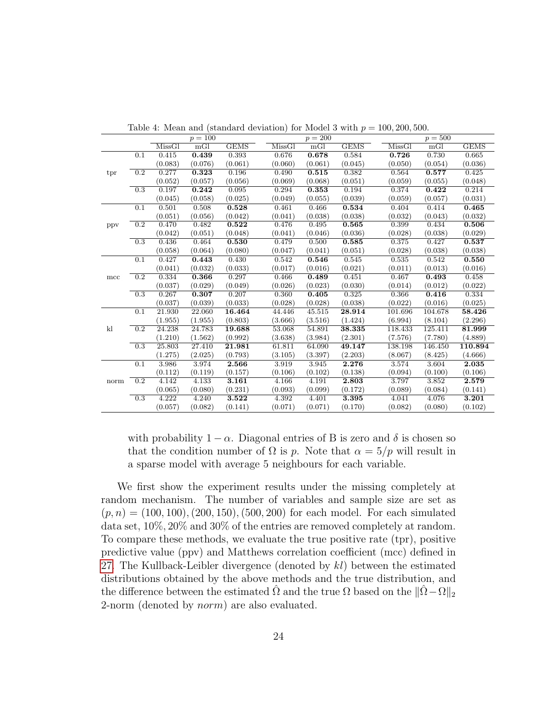|      |                  |         | $p = 100$ |             |         | $p = 200$ |             |         | $p = 500$ |             |
|------|------------------|---------|-----------|-------------|---------|-----------|-------------|---------|-----------|-------------|
|      |                  | MissGl  | mGI       | <b>GEMS</b> | MissGl  | mGI       | <b>GEMS</b> | MissGI  | mGI       | <b>GEMS</b> |
|      | 0.1              | 0.415   | 0.439     | 0.393       | 0.676   | 0.678     | 0.584       | 0.726   | 0.730     | 0.665       |
|      |                  | (0.083) | (0.076)   | (0.061)     | (0.060) | (0.061)   | (0.045)     | (0.050) | (0.054)   | (0.036)     |
| tpr  | $\overline{0.2}$ | 0.277   | 0.323     | 0.196       | 0.490   | 0.515     | 0.382       | 0.564   | 0.577     | 0.425       |
|      |                  | (0.052) | (0.057)   | (0.056)     | (0.069) | (0.068)   | (0.051)     | (0.059) | (0.055)   | (0.048)     |
|      | 0.3              | 0.197   | 0.242     | 0.095       | 0.294   | 0.353     | 0.194       | 0.374   | 0.422     | 0.214       |
|      |                  | (0.045) | (0.058)   | (0.025)     | (0.049) | (0.055)   | (0.039)     | (0.059) | (0.057)   | (0.031)     |
|      | 0.1              | 0.501   | 0.508     | 0.528       | 0.461   | 0.466     | 0.534       | 0.404   | 0.414     | 0.465       |
|      |                  | (0.051) | (0.056)   | (0.042)     | (0.041) | (0.038)   | (0.038)     | (0.032) | (0.043)   | (0.032)     |
| ppv  | 0.2              | 0.470   | 0.482     | 0.522       | 0.476   | 0.495     | 0.565       | 0.399   | 0.434     | 0.506       |
|      |                  | (0.042) | (0.051)   | (0.048)     | (0.041) | (0.046)   | (0.036)     | (0.028) | (0.038)   | (0.029)     |
|      | 0.3              | 0.436   | 0.464     | 0.530       | 0.479   | 0.500     | 0.585       | 0.375   | 0.427     | 0.537       |
|      |                  | (0.058) | (0.064)   | (0.080)     | (0.047) | (0.041)   | (0.051)     | (0.028) | (0.038)   | (0.038)     |
|      | 0.1              | 0.427   | 0.443     | 0.430       | 0.542   | 0.546     | 0.545       | 0.535   | 0.542     | 0.550       |
|      |                  | (0.041) | (0.032)   | (0.033)     | (0.017) | (0.016)   | (0.021)     | (0.011) | (0.013)   | (0.016)     |
| mcc  | $\overline{0.2}$ | 0.334   | 0.366     | 0.297       | 0.466   | 0.489     | 0.451       | 0.467   | 0.493     | 0.458       |
|      |                  | (0.037) | (0.029)   | (0.049)     | (0.026) | (0.023)   | (0.030)     | (0.014) | (0.012)   | (0.022)     |
|      | $\overline{0.3}$ | 0.267   | 0.307     | 0.207       | 0.360   | 0.405     | 0.325       | 0.366   | 0.416     | 0.334       |
|      |                  | (0.037) | (0.039)   | (0.033)     | (0.028) | (0.028)   | (0.038)     | (0.022) | (0.016)   | (0.025)     |
|      | 0.1              | 21.930  | 22.060    | 16.464      | 44.446  | 45.515    | 28.914      | 101.696 | 104.678   | 58.426      |
|      |                  | (1.955) | (1.955)   | (0.803)     | (3.666) | (3.516)   | (1.424)     | (6.994) | (8.104)   | (2.296)     |
| kl   | 0.2              | 24.238  | 24.783    | 19.688      | 53.068  | 54.891    | 38.335      | 118.433 | 125.411   | 81.999      |
|      |                  | (1.210) | (1.562)   | (0.992)     | (3.638) | (3.984)   | (2.301)     | (7.576) | (7.780)   | (4.889)     |
|      | 0.3              | 25.803  | 27.410    | 21.981      | 61.811  | 64.090    | 49.147      | 138.198 | 146.450   | 110.894     |
|      |                  | (1.275) | (2.025)   | (0.793)     | (3.105) | (3.397)   | (2.203)     | (8.067) | (8.425)   | (4.666)     |
|      | 0.1              | 3.986   | 3.974     | 2.566       | 3.919   | 3.945     | 2.276       | 3.574   | 3.604     | 2.035       |
|      |                  | (0.112) | (0.119)   | (0.157)     | (0.106) | (0.102)   | (0.138)     | (0.094) | (0.100)   | (0.106)     |
| norm | $\overline{0.2}$ | 4.142   | 4.133     | 3.161       | 4.166   | 4.191     | 2.803       | 3.797   | 3.852     | 2.579       |
|      |                  | (0.065) | (0.080)   | (0.231)     | (0.093) | (0.099)   | (0.172)     | (0.089) | (0.084)   | (0.141)     |
|      | $\overline{0.3}$ | 4.222   | 4.240     | 3.522       | 4.392   | 4.401     | 3.395       | 4.041   | 4.076     | 3.201       |
|      |                  | (0.057) | (0.082)   | (0.141)     | (0.071) | (0.071)   | (0.170)     | (0.082) | (0.080)   | (0.102)     |

<span id="page-23-0"></span>Table 4: Mean and (standard deviation) for Model 3 with  $p = 100, 200, 500$ .

with probability  $1 - \alpha$ . Diagonal entries of B is zero and  $\delta$  is chosen so that the condition number of  $\Omega$  is p. Note that  $\alpha = 5/p$  will result in a sparse model with average 5 neighbours for each variable.

We first show the experiment results under the missing completely at random mechanism. The number of variables and sample size are set as  $(p, n) = (100, 100), (200, 150), (500, 200)$  for each model. For each simulated data set, 10%, 20% and 30% of the entries are removed completely at random. To compare these methods, we evaluate the true positive rate (tpr), positive predictive value (ppv) and Matthews correlation coefficient (mcc) defined in [27.](#page-21-0) The Kullback-Leibler divergence (denoted by kl) between the estimated distributions obtained by the above methods and the true distribution, and the difference between the estimated  $\Omega$  and the true  $\Omega$  based on the  $\|\Omega - \Omega\|_2$ 2-norm (denoted by norm) are also evaluated.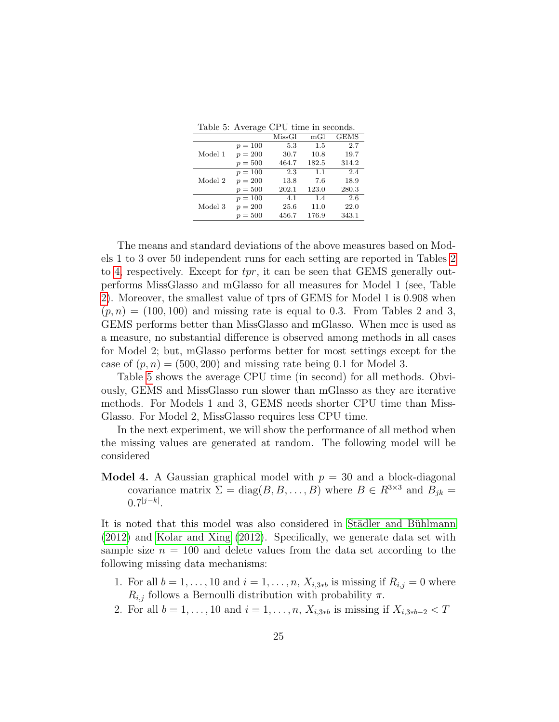<span id="page-24-0"></span>Table 5: Average CPU time in seconds.

|         |           | MissGl | mGl   | <b>GEMS</b> |
|---------|-----------|--------|-------|-------------|
|         | $p = 100$ | 5.3    | 1.5   | 2.7         |
| Model 1 | $p = 200$ | 30.7   | 10.8  | 19.7        |
|         | $p = 500$ | 464.7  | 182.5 | 314.2       |
|         | $p = 100$ | 2.3    | 1.1   | 2.4         |
| Model 2 | $p = 200$ | 13.8   | 7.6   | 18.9        |
|         | $p = 500$ | 202.1  | 123.0 | 280.3       |
|         | $p = 100$ | 4.1    | 1.4   | 2.6         |
| Model 3 | $p = 200$ | 25.6   | 11.0  | 22.0        |
|         | $p = 500$ | 456.7  | 176.9 | 343.1       |

The means and standard deviations of the above measures based on Models 1 to 3 over 50 independent runs for each setting are reported in Tables [2](#page-21-1) to [4,](#page-23-0) respectively. Except for  $tpr$ , it can be seen that GEMS generally outperforms MissGlasso and mGlasso for all measures for Model 1 (see, Table [2\)](#page-21-1). Moreover, the smallest value of tprs of GEMS for Model 1 is 0.908 when  $(p, n) = (100, 100)$  and missing rate is equal to 0.3. From Tables 2 and 3, GEMS performs better than MissGlasso and mGlasso. When mcc is used as a measure, no substantial difference is observed among methods in all cases for Model 2; but, mGlasso performs better for most settings except for the case of  $(p, n) = (500, 200)$  and missing rate being 0.1 for Model 3.

Table [5](#page-24-0) shows the average CPU time (in second) for all methods. Obviously, GEMS and MissGlasso run slower than mGlasso as they are iterative methods. For Models 1 and 3, GEMS needs shorter CPU time than Miss-Glasso. For Model 2, MissGlasso requires less CPU time.

In the next experiment, we will show the performance of all method when the missing values are generated at random. The following model will be considered

**Model 4.** A Gaussian graphical model with  $p = 30$  and a block-diagonal covariance matrix  $\Sigma = \text{diag}(B, B, \dots, B)$  where  $B \in R^{3 \times 3}$  and  $B_{jk} =$  $0.7^{|j-k|}$ .

It is noted that this model was also considered in Städler and Bühlmann [\(2012\)](#page-34-2) and [Kolar and Xing \(2012\)](#page-34-9). Specifically, we generate data set with sample size  $n = 100$  and delete values from the data set according to the following missing data mechanisms:

- 1. For all  $b = 1, ..., 10$  and  $i = 1, ..., n$ ,  $X_{i,3*b}$  is missing if  $R_{i,j} = 0$  where  $R_{i,j}$  follows a Bernoulli distribution with probability  $\pi$ .
- 2. For all  $b = 1, ..., 10$  and  $i = 1, ..., n$ ,  $X_{i,3*b}$  is missing if  $X_{i,3*b-2} < T$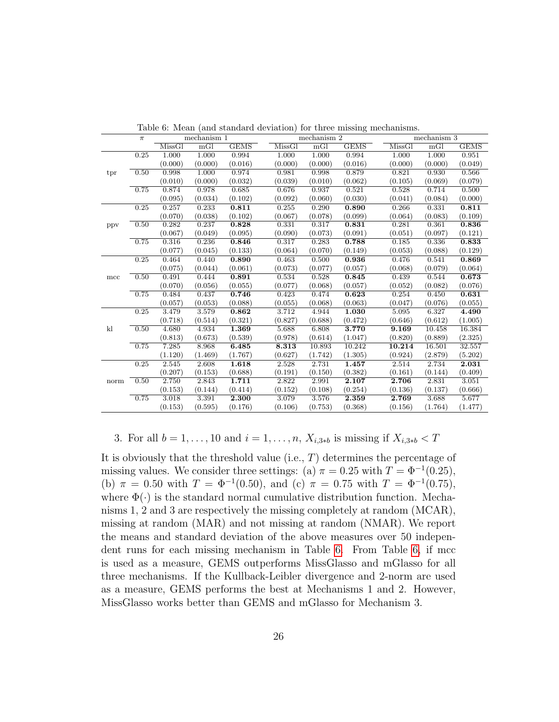|      | $\pi$ | mechanism 1 |         |             |         | mechanism 2 |             |         | mechanism 3 |             |  |
|------|-------|-------------|---------|-------------|---------|-------------|-------------|---------|-------------|-------------|--|
|      |       | MissGl      | mGI     | <b>GEMS</b> | MissGl  | mGI         | <b>GEMS</b> | MissGl  | mGI         | <b>GEMS</b> |  |
|      | 0.25  | 1.000       | 1.000   | 0.994       | 1.000   | 1.000       | 0.994       | 1.000   | 1.000       | 0.951       |  |
|      |       | (0.000)     | (0.000) | (0.016)     | (0.000) | (0.000)     | (0.016)     | (0.000) | (0.000)     | (0.049)     |  |
| tpr  | 0.50  | 0.998       | 1.000   | 0.974       | 0.981   | 0.998       | 0.879       | 0.821   | 0.930       | 0.566       |  |
|      |       | (0.010)     | (0.000) | (0.032)     | (0.039) | (0.010)     | (0.062)     | (0.105) | (0.069)     | (0.079)     |  |
|      | 0.75  | 0.874       | 0.978   | 0.685       | 0.676   | 0.937       | 0.521       | 0.528   | 0.714       | 0.500       |  |
|      |       | (0.095)     | (0.034) | (0.102)     | (0.092) | (0.060)     | (0.030)     | (0.041) | (0.084)     | (0.000)     |  |
|      | 0.25  | 0.257       | 0.233   | 0.811       | 0.255   | 0.290       | 0.890       | 0.266   | 0.331       | 0.811       |  |
|      |       | (0.070)     | (0.038) | (0.102)     | (0.067) | (0.078)     | (0.099)     | (0.064) | (0.083)     | (0.109)     |  |
| ppv  | 0.50  | 0.282       | 0.237   | 0.828       | 0.331   | 0.317       | 0.831       | 0.281   | 0.361       | 0.836       |  |
|      |       | (0.067)     | (0.049) | (0.095)     | (0.090) | (0.073)     | (0.091)     | (0.051) | (0.097)     | (0.121)     |  |
|      | 0.75  | 0.316       | 0.236   | 0.846       | 0.317   | 0.283       | 0.788       | 0.185   | 0.336       | 0.833       |  |
|      |       | (0.077)     | (0.045) | (0.133)     | (0.064) | (0.070)     | (0.149)     | (0.053) | (0.088)     | (0.129)     |  |
|      | 0.25  | 0.464       | 0.440   | 0.890       | 0.463   | 0.500       | 0.936       | 0.476   | 0.541       | 0.869       |  |
|      |       | (0.075)     | (0.044) | (0.061)     | (0.073) | (0.077)     | (0.057)     | (0.068) | (0.079)     | (0.064)     |  |
| mcc  | 0.50  | 0.491       | 0.444   | 0.891       | 0.534   | 0.528       | 0.845       | 0.439   | 0.544       | 0.673       |  |
|      |       | (0.070)     | (0.056) | (0.055)     | (0.077) | (0.068)     | (0.057)     | (0.052) | (0.082)     | (0.076)     |  |
|      | 0.75  | 0.484       | 0.437   | 0.746       | 0.423   | 0.474       | 0.623       | 0.254   | 0.450       | 0.631       |  |
|      |       | (0.057)     | (0.053) | (0.088)     | (0.055) | (0.068)     | (0.063)     | (0.047) | (0.076)     | (0.055)     |  |
|      | 0.25  | 3.479       | 3.579   | 0.862       | 3.712   | 4.944       | 1.030       | 5.095   | 6.327       | 4.490       |  |
|      |       | (0.718)     | (0.514) | (0.321)     | (0.827) | (0.688)     | (0.472)     | (0.646) | (0.612)     | (1.005)     |  |
| kl   | 0.50  | 4.680       | 4.934   | 1.369       | 5.688   | 6.808       | 3.770       | 9.169   | 10.458      | 16.384      |  |
|      |       | (0.813)     | (0.673) | (0.539)     | (0.978) | (0.614)     | (1.047)     | (0.820) | (0.889)     | (2.325)     |  |
|      | 0.75  | 7.285       | 8.968   | 6.485       | 8.313   | 10.893      | 10.242      | 10.214  | 16.501      | 32.557      |  |
|      |       | (1.120)     | (1.469) | (1.767)     | (0.627) | (1.742)     | (1.305)     | (0.924) | (2.879)     | (5.202)     |  |
|      | 0.25  | 2.545       | 2.608   | 1.618       | 2.528   | 2.731       | 1.457       | 2.514   | 2.734       | 2.031       |  |
|      |       | (0.207)     | (0.153) | (0.688)     | (0.191) | (0.150)     | (0.382)     | (0.161) | (0.144)     | (0.409)     |  |
| norm | 0.50  | 2.750       | 2.843   | 1.711       | 2.822   | 2.991       | 2.107       | 2.706   | 2.831       | 3.051       |  |
|      |       | (0.153)     | (0.144) | (0.414)     | (0.152) | (0.108)     | (0.254)     | (0.136) | (0.137)     | (0.666)     |  |
|      | 0.75  | 3.018       | 3.391   | 2.300       | 3.079   | 3.576       | 2.359       | 2.769   | 3.688       | 5.677       |  |
|      |       | (0.153)     | (0.595) | (0.176)     | (0.106) | (0.753)     | (0.368)     | (0.156) | (1.764)     | (1.477)     |  |

<span id="page-25-0"></span>Table 6: Mean (and standard deviation) for three missing mechanisms.

# 3. For all  $b = 1, ..., 10$  and  $i = 1, ..., n$ ,  $X_{i,3*b}$  is missing if  $X_{i,3*b} < T$

It is obviously that the threshold value (i.e.,  $T$ ) determines the percentage of missing values. We consider three settings: (a)  $\pi = 0.25$  with  $T = \Phi^{-1}(0.25)$ , (b)  $\pi = 0.50$  with  $T = \Phi^{-1}(0.50)$ , and (c)  $\pi = 0.75$  with  $T = \Phi^{-1}(0.75)$ , where  $\Phi(\cdot)$  is the standard normal cumulative distribution function. Mechanisms 1, 2 and 3 are respectively the missing completely at random (MCAR), missing at random (MAR) and not missing at random (NMAR). We report the means and standard deviation of the above measures over 50 independent runs for each missing mechanism in Table [6.](#page-25-0) From Table [6,](#page-25-0) if mcc is used as a measure, GEMS outperforms MissGlasso and mGlasso for all three mechanisms. If the Kullback-Leibler divergence and 2-norm are used as a measure, GEMS performs the best at Mechanisms 1 and 2. However, MissGlasso works better than GEMS and mGlasso for Mechanism 3.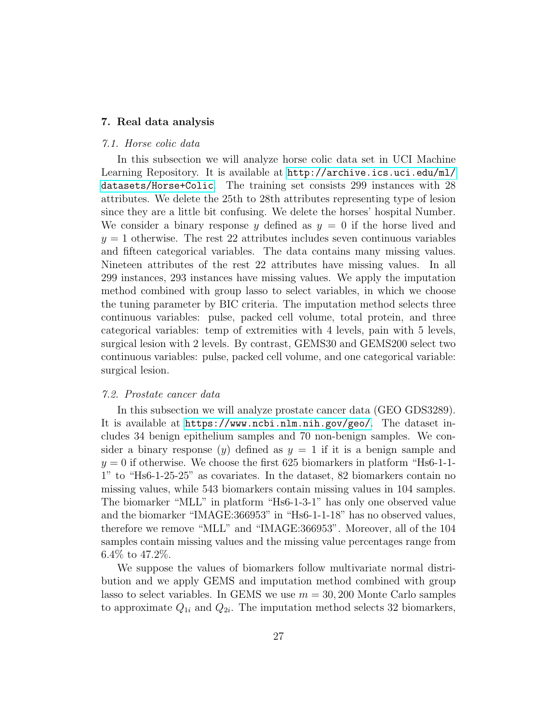#### 7. Real data analysis

#### 7.1. Horse colic data

In this subsection we will analyze horse colic data set in UCI Machine Learning Repository. It is available at [http://archive.ics.uci.edu/ml/](http://archive.ics.uci.edu/ml/datasets/Horse+Colic) [datasets/Horse+Colic](http://archive.ics.uci.edu/ml/datasets/Horse+Colic). The training set consists 299 instances with 28 attributes. We delete the 25th to 28th attributes representing type of lesion since they are a little bit confusing. We delete the horses' hospital Number. We consider a binary response y defined as  $y = 0$  if the horse lived and  $y = 1$  otherwise. The rest 22 attributes includes seven continuous variables and fifteen categorical variables. The data contains many missing values. Nineteen attributes of the rest 22 attributes have missing values. In all 299 instances, 293 instances have missing values. We apply the imputation method combined with group lasso to select variables, in which we choose the tuning parameter by BIC criteria. The imputation method selects three continuous variables: pulse, packed cell volume, total protein, and three categorical variables: temp of extremities with 4 levels, pain with 5 levels, surgical lesion with 2 levels. By contrast, GEMS30 and GEMS200 select two continuous variables: pulse, packed cell volume, and one categorical variable: surgical lesion.

#### 7.2. Prostate cancer data

In this subsection we will analyze prostate cancer data (GEO GDS3289). It is available at <https://www.ncbi.nlm.nih.gov/geo/>. The dataset includes 34 benign epithelium samples and 70 non-benign samples. We consider a binary response (y) defined as  $y = 1$  if it is a benign sample and  $y = 0$  if otherwise. We choose the first 625 biomarkers in platform "Hs6-1-1-1" to "Hs6-1-25-25" as covariates. In the dataset, 82 biomarkers contain no missing values, while 543 biomarkers contain missing values in 104 samples. The biomarker "MLL" in platform "Hs6-1-3-1" has only one observed value and the biomarker "IMAGE:366953" in "Hs6-1-1-18" has no observed values, therefore we remove "MLL" and "IMAGE:366953". Moreover, all of the 104 samples contain missing values and the missing value percentages range from 6.4% to 47.2%.

We suppose the values of biomarkers follow multivariate normal distribution and we apply GEMS and imputation method combined with group lasso to select variables. In GEMS we use  $m = 30,200$  Monte Carlo samples to approximate  $Q_{1i}$  and  $Q_{2i}$ . The imputation method selects 32 biomarkers,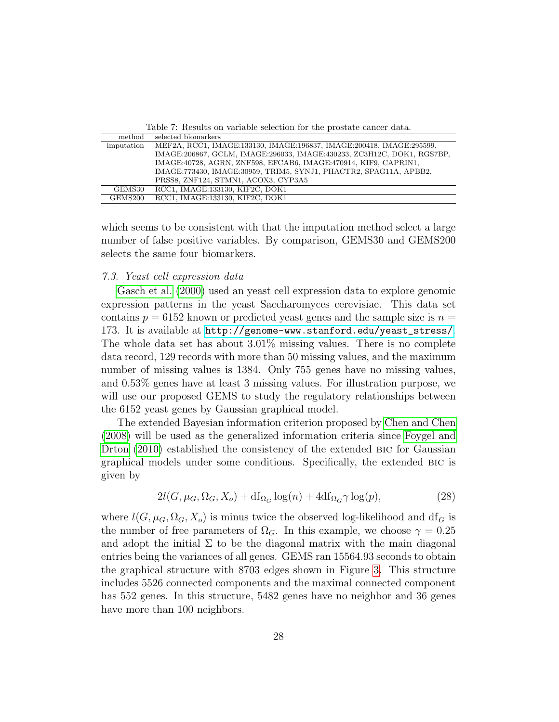Table 7: Results on variable selection for the prostate cancer data.

| method     | selected biomarkers                                                    |
|------------|------------------------------------------------------------------------|
| imputation | MEF2A, RCC1, IMAGE:133130, IMAGE:196837, IMAGE:200418, IMAGE:295599,   |
|            | IMAGE:206867, GCLM, IMAGE:296033, IMAGE:430233, ZC3H12C, DOK1, RGS7BP, |
|            | IMAGE:40728, AGRN, ZNF598, EFCAB6, IMAGE:470914, KIF9, CAPRIN1,        |
|            | IMAGE:773430, IMAGE:30959, TRIM5, SYNJ1, PHACTR2, SPAG11A, APBB2,      |
|            | PRSS8, ZNF124, STMN1, ACOX3, CYP3A5                                    |
| GEMS30     | RCC1, IMAGE:133130, KIF2C, DOK1                                        |
| GEMS200    | RCC1, IMAGE:133130, KIF2C, DOK1                                        |

which seems to be consistent with that the imputation method select a large number of false positive variables. By comparison, GEMS30 and GEMS200 selects the same four biomarkers.

#### 7.3. Yeast cell expression data

[Gasch et al. \(2000\)](#page-33-9) used an yeast cell expression data to explore genomic expression patterns in the yeast Saccharomyces cerevisiae. This data set contains  $p = 6152$  known or predicted yeast genes and the sample size is  $n =$ 173. It is available at [http://genome-www.stanford.edu/yeast\\_stress/](http://genome-www.stanford.edu/yeast_stress/). The whole data set has about 3.01% missing values. There is no complete data record, 129 records with more than 50 missing values, and the maximum number of missing values is 1384. Only 755 genes have no missing values, and 0.53% genes have at least 3 missing values. For illustration purpose, we will use our proposed GEMS to study the regulatory relationships between the 6152 yeast genes by Gaussian graphical model.

The extended Bayesian information criterion proposed by [Chen and Chen](#page-32-8) [\(2008\)](#page-32-8) will be used as the generalized information criteria since [Foygel and](#page-32-9) [Drton \(2010\)](#page-32-9) established the consistency of the extended bic for Gaussian graphical models under some conditions. Specifically, the extended bic is given by

$$
2l(G, \mu_G, \Omega_G, X_o) + df_{\Omega_G} \log(n) + 4df_{\Omega_G} \gamma \log(p), \tag{28}
$$

where  $l(G, \mu_G, \Omega_G, X_o)$  is minus twice the observed log-likelihood and df<sub>G</sub> is the number of free parameters of  $\Omega_G$ . In this example, we choose  $\gamma = 0.25$ and adopt the initial  $\Sigma$  to be the diagonal matrix with the main diagonal entries being the variances of all genes. GEMS ran 15564.93 seconds to obtain the graphical structure with 8703 edges shown in Figure [3.](#page-28-0) This structure includes 5526 connected components and the maximal connected component has 552 genes. In this structure, 5482 genes have no neighbor and 36 genes have more than 100 neighbors.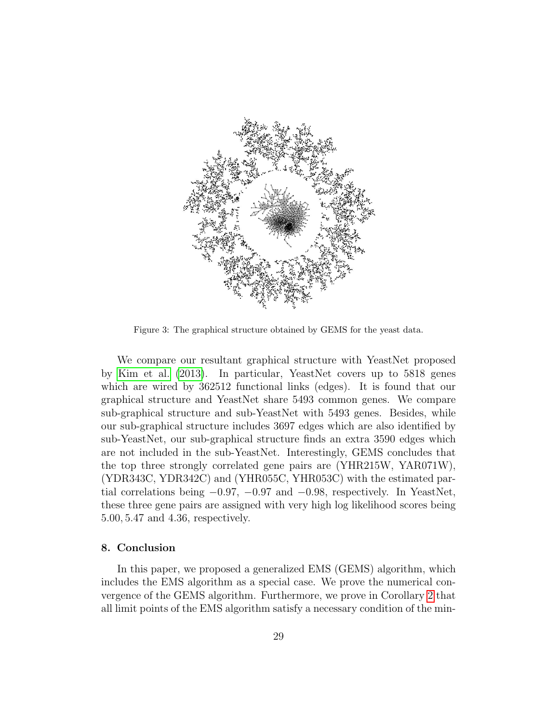

<span id="page-28-0"></span>Figure 3: The graphical structure obtained by GEMS for the yeast data.

We compare our resultant graphical structure with YeastNet proposed by [Kim et al. \(2013\)](#page-34-10). In particular, YeastNet covers up to 5818 genes which are wired by 362512 functional links (edges). It is found that our graphical structure and YeastNet share 5493 common genes. We compare sub-graphical structure and sub-YeastNet with 5493 genes. Besides, while our sub-graphical structure includes 3697 edges which are also identified by sub-YeastNet, our sub-graphical structure finds an extra 3590 edges which are not included in the sub-YeastNet. Interestingly, GEMS concludes that the top three strongly correlated gene pairs are (YHR215W, YAR071W), (YDR343C, YDR342C) and (YHR055C, YHR053C) with the estimated partial correlations being  $-0.97$ ,  $-0.97$  and  $-0.98$ , respectively. In YeastNet, these three gene pairs are assigned with very high log likelihood scores being 5.00, 5.47 and 4.36, respectively.

## 8. Conclusion

In this paper, we proposed a generalized EMS (GEMS) algorithm, which includes the EMS algorithm as a special case. We prove the numerical convergence of the GEMS algorithm. Furthermore, we prove in Corollary [2](#page-6-1) that all limit points of the EMS algorithm satisfy a necessary condition of the min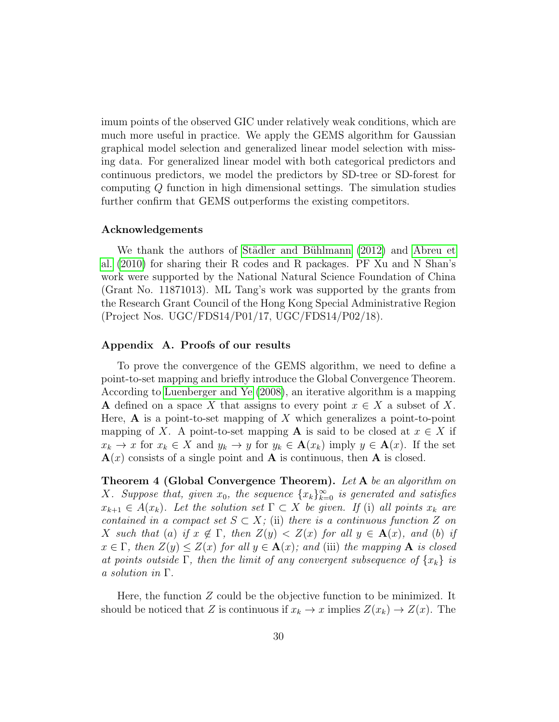imum points of the observed GIC under relatively weak conditions, which are much more useful in practice. We apply the GEMS algorithm for Gaussian graphical model selection and generalized linear model selection with missing data. For generalized linear model with both categorical predictors and continuous predictors, we model the predictors by SD-tree or SD-forest for computing Q function in high dimensional settings. The simulation studies further confirm that GEMS outperforms the existing competitors.

#### Acknowledgements

We thank the authors of Städler and Bühlmann (2012) and [Abreu et](#page-32-5) [al. \(2010\)](#page-32-5) for sharing their R codes and R packages. PF Xu and N Shan's work were supported by the National Natural Science Foundation of China (Grant No. 11871013). ML Tang's work was supported by the grants from the Research Grant Council of the Hong Kong Special Administrative Region (Project Nos. UGC/FDS14/P01/17, UGC/FDS14/P02/18).

#### Appendix A. Proofs of our results

To prove the convergence of the GEMS algorithm, we need to define a point-to-set mapping and briefly introduce the Global Convergence Theorem. According to [Luenberger and Ye \(2008\)](#page-34-11), an iterative algorithm is a mapping A defined on a space X that assigns to every point  $x \in X$  a subset of X. Here,  $\bf{A}$  is a point-to-set mapping of X which generalizes a point-to-point mapping of X. A point-to-set mapping **A** is said to be closed at  $x \in X$  if  $x_k \to x$  for  $x_k \in X$  and  $y_k \to y$  for  $y_k \in \mathbf{A}(x_k)$  imply  $y \in \mathbf{A}(x)$ . If the set  $\mathbf{A}(x)$  consists of a single point and  $\mathbf{A}$  is continuous, then  $\mathbf{A}$  is closed.

**Theorem 4 (Global Convergence Theorem).** Let A be an algorithm on X. Suppose that, given  $x_0$ , the sequence  $\{x_k\}_{k=0}^{\infty}$  is generated and satisfies  $x_{k+1} \in A(x_k)$ . Let the solution set  $\Gamma \subset X$  be given. If (i) all points  $x_k$  are contained in a compact set  $S \subset X$ ; (ii) there is a continuous function Z on X such that (a) if  $x \notin \Gamma$ , then  $Z(y) < Z(x)$  for all  $y \in \mathbf{A}(x)$ , and (b) if  $x \in \Gamma$ , then  $Z(y) \leq Z(x)$  for all  $y \in \mathbf{A}(x)$ ; and (iii) the mapping  $\mathbf{A}$  is closed at points outside  $\Gamma$ , then the limit of any convergent subsequence of  $\{x_k\}$  is a solution in Γ.

Here, the function Z could be the objective function to be minimized. It should be noticed that Z is continuous if  $x_k \to x$  implies  $Z(x_k) \to Z(x)$ . The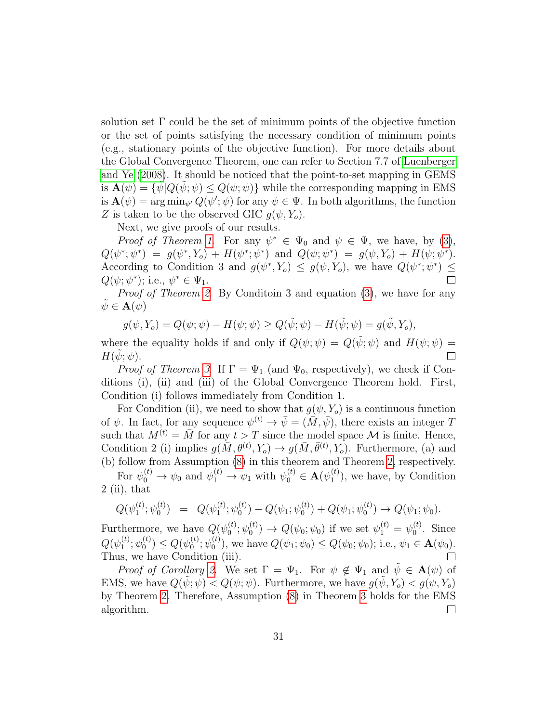solution set Γ could be the set of minimum points of the objective function or the set of points satisfying the necessary condition of minimum points (e.g., stationary points of the objective function). For more details about the Global Convergence Theorem, one can refer to Section 7.7 of [Luenberger](#page-34-11) [and Ye \(2008\)](#page-34-11). It should be noticed that the point-to-set mapping in GEMS is  $\mathbf{A}(\psi) = {\psi|Q(\psi;\psi) \leq Q(\psi;\psi)}$  while the corresponding mapping in EMS is  $\mathbf{A}(\psi) = \arg \min_{\psi} Q(\psi'; \psi)$  for any  $\psi \in \Psi$ . In both algorithms, the function Z is taken to be the observed GIC  $g(\psi, Y_o)$ .

Next, we give proofs of our results.

Proof of Theorem [1](#page-5-1). For any  $\psi^* \in \Psi_0$  and  $\psi \in \Psi$ , we have, by [\(3\)](#page-3-0),  $Q(\psi^*; \psi^*) = g(\psi^*, Y_o) + H(\psi^*; \psi^*)$  and  $Q(\psi; \psi^*) = g(\psi, Y_o) + H(\psi; \psi^*).$ According to Condition 3 and  $g(\psi^*, Y_o) \leq g(\psi, Y_o)$ , we have  $Q(\psi^*, \psi^*) \leq$  $Q(\psi; \psi^*)$ ; i.e.,  $\psi^* \in \Psi_1$ .

Proof of Theorem [2](#page-6-0). By Conditoin 3 and equation [\(3\)](#page-3-0), we have for any  $\tilde{\psi} \in \mathbf{A}(\psi)$ 

<span id="page-30-0"></span>
$$
g(\psi, Y_o) = Q(\psi; \psi) - H(\psi; \psi) \ge Q(\tilde{\psi}; \psi) - H(\tilde{\psi}; \psi) = g(\tilde{\psi}, Y_o),
$$

where the equality holds if and only if  $Q(\psi; \psi) = Q(\tilde{\psi}; \psi)$  and  $H(\psi; \psi) =$  $H(\psi; \psi)$ .  $\Box$ 

*Proof of Theorem [3](#page-6-2).* If  $\Gamma = \Psi_1$  (and  $\Psi_0$ , respectively), we check if Conditions (i), (ii) and (iii) of the Global Convergence Theorem hold. First, Condition (i) follows immediately from Condition 1.

For Condition (ii), we need to show that  $g(\psi, Y_o)$  is a continuous function of  $\psi$ . In fact, for any sequence  $\psi^{(t)} \to \bar{\psi} = (\bar{M}, \bar{\psi})$ , there exists an integer T such that  $M^{(t)} = \overline{M}$  for any  $t > T$  since the model space M is finite. Hence, Condition 2 (i) implies  $g(\tilde{M}, \theta^{(t)}, Y_o) \to g(\bar{M}, \bar{\theta}^{(t)}, Y_o)$ . Furthermore, (a) and (b) follow from Assumption [\(8\)](#page-6-3) in this theorem and Theorem [2,](#page-6-0) respectively.

For  $\psi_0^{(t)} \to \psi_0$  and  $\psi_1^{(t)} \to \psi_1$  with  $\psi_0^{(t)} \in \mathbf{A}(\psi_1^{(t)})$  $\binom{[t]}{1}$ , we have, by Condition 2 (ii), that

$$
Q(\psi_1^{(t)}; \psi_0^{(t)}) = Q(\psi_1^{(t)}; \psi_0^{(t)}) - Q(\psi_1; \psi_0^{(t)}) + Q(\psi_1; \psi_0^{(t)}) \rightarrow Q(\psi_1; \psi_0).
$$

Furthermore, we have  $Q(\psi_0^{(t)})$  $\stackrel{(t)}{0};\psi_0^{(t)}$  $Q_0^{(t)}$   $\rightarrow Q(\psi_0; \psi_0)$  if we set  $\psi_1^{(t)} = \psi_0^{(t)}$  $\int_0^{(t)}$ . Since  $Q(\psi_1^{(t)}% ,\omega_2^{(t)}+\gamma _{i}(t))$  $\mathcal{L}_1^{(t)}; \psi_0^{(t)}$  $\binom{t}{0}$   $\leq Q(\psi_0^{(t)}$  $\stackrel{(t)}{0};\psi_0^{(t)}$  $Q_0^{(t)}$ , we have  $Q(\psi_1; \psi_0) \leq Q(\psi_0; \psi_0)$ ; i.e.,  $\psi_1 \in \mathbf{A}(\psi_0)$ . Thus, we have Condition (iii).  $\Box$ 

*Proof of Corollary [2](#page-6-1).* We set  $\Gamma = \Psi_1$ . For  $\psi \notin \Psi_1$  and  $\tilde{\psi} \in \mathbf{A}(\psi)$  of EMS, we have  $Q(\tilde{\psi}; \psi) < Q(\psi; \psi)$ . Furthermore, we have  $g(\tilde{\psi}, Y_o) < g(\psi, Y_o)$ by Theorem [2.](#page-6-0) Therefore, Assumption [\(8\)](#page-6-3) in Theorem [3](#page-6-2) holds for the EMS algorithm.  $\Box$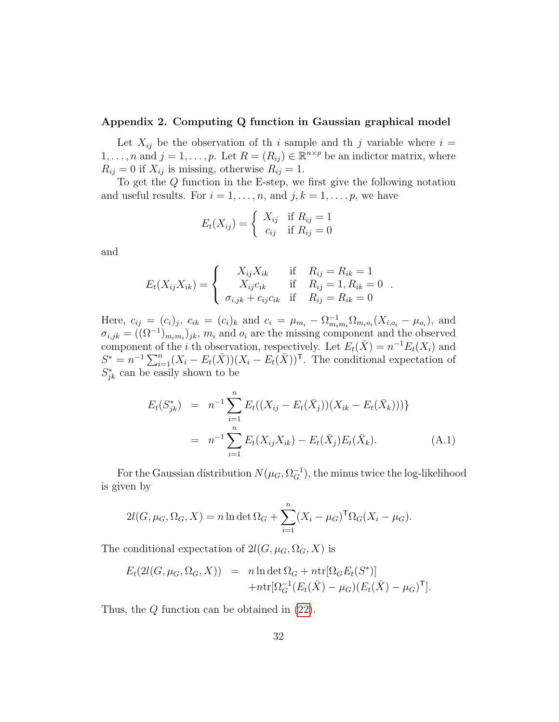#### Appendix 2. Computing Q function in Gaussian graphical model

Let  $X_{ij}$  be the observation of th i sample and th j variable where  $i =$  $1, \ldots, n$  and  $j = 1, \ldots, p$ . Let  $R = (R_{ij}) \in \mathbb{R}^{n \times p}$  be an indictor matrix, where  $R_{ij} = 0$  if  $X_{ij}$  is missing, otherwise  $R_{ij} = 1$ .

To get the Q function in the E-step, we first give the following notation and useful results. For  $i = 1, \ldots, n$ , and  $j, k = 1, \ldots, p$ , we have

$$
E_t(X_{ij}) = \begin{cases} X_{ij} & \text{if } R_{ij} = 1\\ c_{ij} & \text{if } R_{ij} = 0 \end{cases}
$$

and

$$
E_t(X_{ij}X_{ik}) = \begin{cases} X_{ij}X_{ik} & \text{if } R_{ij} = R_{ik} = 1\\ X_{ij}c_{ik} & \text{if } R_{ij} = 1, R_{ik} = 0\\ \sigma_{i,jk} + c_{ij}c_{ik} & \text{if } R_{ij} = R_{ik} = 0 \end{cases}
$$

Here,  $c_{ij} = (c_i)_j$ ,  $c_{ik} = (c_i)_k$  and  $c_i = \mu_{m_i} - \Omega_{m_i m_i}^{-1} \Omega_{m_i o_i} (X_{i, o_i} - \mu_{o_i})$ , and  $\sigma_{i,jk} = ((\Omega^{-1})_{m_i m_i})_{jk}, m_i$  and  $o_i$  are the missing component and the observed component of the *i* th observation, respectively. Let  $E_t(\bar{X}) = n^{-1}E_t(X_i)$  and  $S^* = n^{-1} \sum_{i=1}^n (X_i - E_t(\bar{X})) (X_i - E_t(\bar{X}))$ <sup>T</sup>. The conditional expectation of  $S_{jk}^*$  can be easily shown to be

$$
E_t(S_{jk}^*) = n^{-1} \sum_{i=1}^n E_t((X_{ij} - E_t(\bar{X}_j))(X_{ik} - E_t(\bar{X}_k)))
$$
  
= 
$$
n^{-1} \sum_{i=1}^n E_t(X_{ij}X_{ik}) - E_t(\bar{X}_j)E_t(\bar{X}_k).
$$
 (A.1)

.

For the Gaussian distribution  $N(\mu_G, \Omega_G^{-1})$ , the minus twice the log-likelihood is given by

$$
2l(G, \mu_G, \Omega_G, X) = n \ln \det \Omega_G + \sum_{i=1}^n (X_i - \mu_G)^\mathsf{T} \Omega_G (X_i - \mu_G).
$$

The conditional expectation of  $2l(G, \mu_G, \Omega_G, X)$  is

$$
E_t(2l(G, \mu_G, \Omega_G, X)) = n \ln \det \Omega_G + n \text{tr}[\Omega_G E_t(S^*)]
$$
  
+ 
$$
+ n \text{tr}[\Omega_G^{-1}(E_t(\bar{X}) - \mu_G)(E_t(\bar{X}) - \mu_G)^{\mathsf{T}}].
$$

Thus, the Q function can be obtained in [\(22\)](#page-17-0).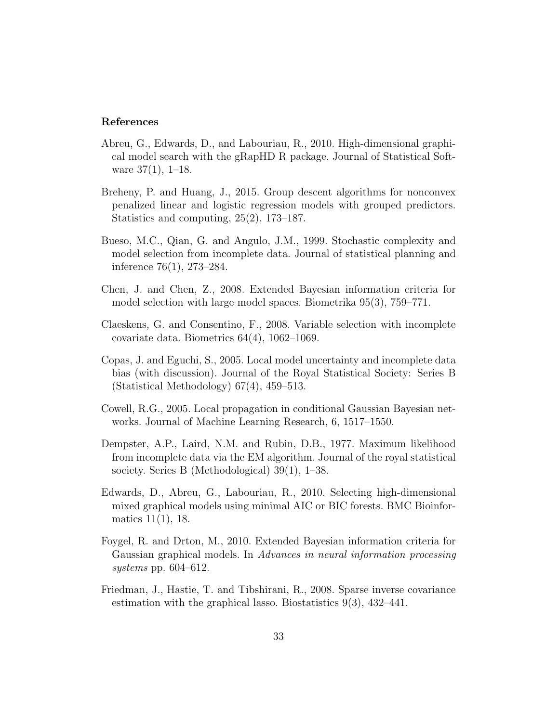#### References

- <span id="page-32-5"></span>Abreu, G., Edwards, D., and Labouriau, R., 2010. High-dimensional graphical model search with the gRapHD R package. Journal of Statistical Software  $37(1)$ , 1–18.
- Breheny, P. and Huang, J., 2015. Group descent algorithms for nonconvex penalized linear and logistic regression models with grouped predictors. Statistics and computing, 25(2), 173–187.
- <span id="page-32-1"></span>Bueso, M.C., Qian, G. and Angulo, J.M., 1999. Stochastic complexity and model selection from incomplete data. Journal of statistical planning and inference 76(1), 273–284.
- <span id="page-32-8"></span>Chen, J. and Chen, Z., 2008. Extended Bayesian information criteria for model selection with large model spaces. Biometrika 95(3), 759–771.
- <span id="page-32-2"></span>Claeskens, G. and Consentino, F., 2008. Variable selection with incomplete covariate data. Biometrics 64(4), 1062–1069.
- <span id="page-32-3"></span>Copas, J. and Eguchi, S., 2005. Local model uncertainty and incomplete data bias (with discussion). Journal of the Royal Statistical Society: Series B (Statistical Methodology) 67(4), 459–513.
- <span id="page-32-6"></span>Cowell, R.G., 2005. Local propagation in conditional Gaussian Bayesian networks. Journal of Machine Learning Research, 6, 1517–1550.
- <span id="page-32-0"></span>Dempster, A.P., Laird, N.M. and Rubin, D.B., 1977. Maximum likelihood from incomplete data via the EM algorithm. Journal of the royal statistical society. Series B (Methodological) 39(1), 1–38.
- <span id="page-32-4"></span>Edwards, D., Abreu, G., Labouriau, R., 2010. Selecting high-dimensional mixed graphical models using minimal AIC or BIC forests. BMC Bioinformatics 11(1), 18.
- <span id="page-32-9"></span>Foygel, R. and Drton, M., 2010. Extended Bayesian information criteria for Gaussian graphical models. In Advances in neural information processing systems pp. 604–612.
- <span id="page-32-7"></span>Friedman, J., Hastie, T. and Tibshirani, R., 2008. Sparse inverse covariance estimation with the graphical lasso. Biostatistics 9(3), 432–441.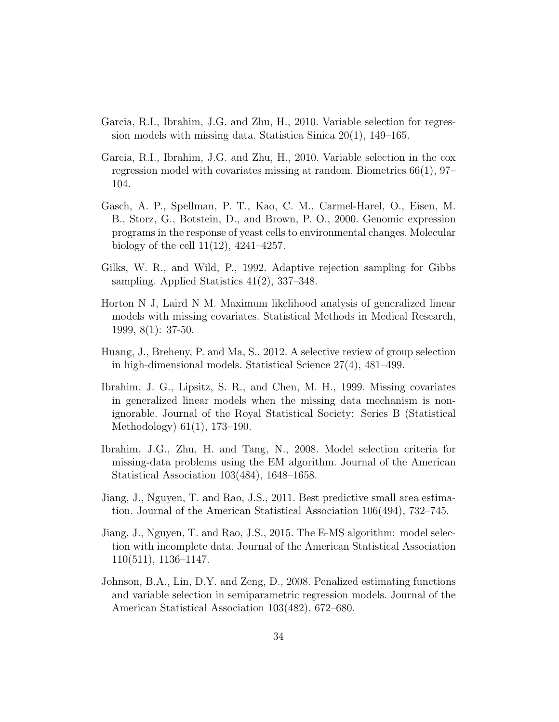- <span id="page-33-4"></span>Garcia, R.I., Ibrahim, J.G. and Zhu, H., 2010. Variable selection for regression models with missing data. Statistica Sinica 20(1), 149–165.
- <span id="page-33-5"></span>Garcia, R.I., Ibrahim, J.G. and Zhu, H., 2010. Variable selection in the cox regression model with covariates missing at random. Biometrics  $66(1)$ ,  $97-$ 104.
- <span id="page-33-9"></span>Gasch, A. P., Spellman, P. T., Kao, C. M., Carmel-Harel, O., Eisen, M. B., Storz, G., Botstein, D., and Brown, P. O., 2000. Genomic expression programs in the response of yeast cells to environmental changes. Molecular biology of the cell 11(12), 4241–4257.
- <span id="page-33-8"></span>Gilks, W. R., and Wild, P., 1992. Adaptive rejection sampling for Gibbs sampling. Applied Statistics 41(2), 337–348.
- <span id="page-33-3"></span>Horton N J, Laird N M. Maximum likelihood analysis of generalized linear models with missing covariates. Statistical Methods in Medical Research, 1999, 8(1): 37-50.
- Huang, J., Breheny, P. and Ma, S., 2012. A selective review of group selection in high-dimensional models. Statistical Science 27(4), 481–499.
- <span id="page-33-7"></span>Ibrahim, J. G., Lipsitz, S. R., and Chen, M. H., 1999. Missing covariates in generalized linear models when the missing data mechanism is nonignorable. Journal of the Royal Statistical Society: Series B (Statistical Methodology) 61(1), 173–190.
- <span id="page-33-0"></span>Ibrahim, J.G., Zhu, H. and Tang, N., 2008. Model selection criteria for missing-data problems using the EM algorithm. Journal of the American Statistical Association 103(484), 1648–1658.
- <span id="page-33-2"></span>Jiang, J., Nguyen, T. and Rao, J.S., 2011. Best predictive small area estimation. Journal of the American Statistical Association 106(494), 732–745.
- <span id="page-33-1"></span>Jiang, J., Nguyen, T. and Rao, J.S., 2015. The E-MS algorithm: model selection with incomplete data. Journal of the American Statistical Association 110(511), 1136–1147.
- <span id="page-33-6"></span>Johnson, B.A., Lin, D.Y. and Zeng, D., 2008. Penalized estimating functions and variable selection in semiparametric regression models. Journal of the American Statistical Association 103(482), 672–680.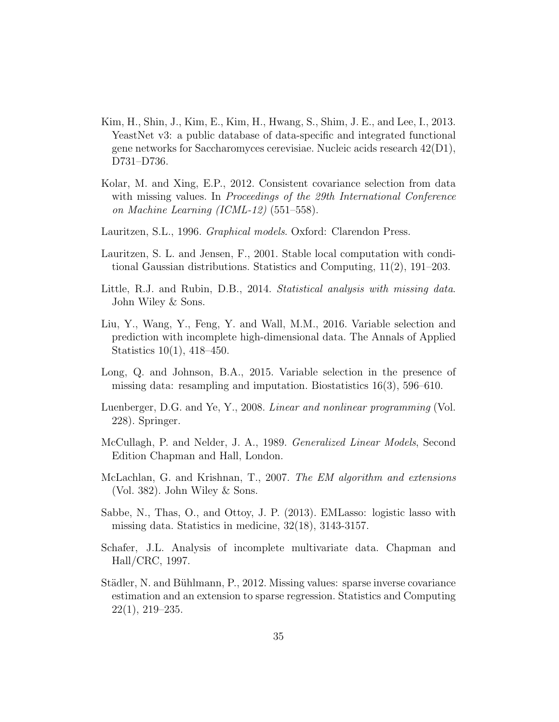- <span id="page-34-10"></span>Kim, H., Shin, J., Kim, E., Kim, H., Hwang, S., Shim, J. E., and Lee, I., 2013. YeastNet v3: a public database of data-specific and integrated functional gene networks for Saccharomyces cerevisiae. Nucleic acids research 42(D1), D731–D736.
- <span id="page-34-9"></span>Kolar, M. and Xing, E.P., 2012. Consistent covariance selection from data with missing values. In *Proceedings of the 29th International Conference* on Machine Learning (ICML-12) (551–558).
- <span id="page-34-7"></span>Lauritzen, S.L., 1996. Graphical models. Oxford: Clarendon Press.
- <span id="page-34-8"></span>Lauritzen, S. L. and Jensen, F., 2001. Stable local computation with conditional Gaussian distributions. Statistics and Computing, 11(2), 191–203.
- Little, R.J. and Rubin, D.B., 2014. Statistical analysis with missing data. John Wiley & Sons.
- <span id="page-34-5"></span>Liu, Y., Wang, Y., Feng, Y. and Wall, M.M., 2016. Variable selection and prediction with incomplete high-dimensional data. The Annals of Applied Statistics 10(1), 418–450.
- <span id="page-34-4"></span>Long, Q. and Johnson, B.A., 2015. Variable selection in the presence of missing data: resampling and imputation. Biostatistics 16(3), 596–610.
- <span id="page-34-11"></span>Luenberger, D.G. and Ye, Y., 2008. Linear and nonlinear programming (Vol. 228). Springer.
- <span id="page-34-1"></span>McCullagh, P. and Nelder, J. A., 1989. Generalized Linear Models, Second Edition Chapman and Hall, London.
- <span id="page-34-0"></span>McLachlan, G. and Krishnan, T., 2007. The EM algorithm and extensions (Vol. 382). John Wiley & Sons.
- <span id="page-34-3"></span>Sabbe, N., Thas, O., and Ottoy, J. P. (2013). EMLasso: logistic lasso with missing data. Statistics in medicine, 32(18), 3143-3157.
- <span id="page-34-6"></span>Schafer, J.L. Analysis of incomplete multivariate data. Chapman and Hall/CRC, 1997.
- <span id="page-34-2"></span>Städler, N. and Bühlmann, P., 2012. Missing values: sparse inverse covariance estimation and an extension to sparse regression. Statistics and Computing 22(1), 219–235.